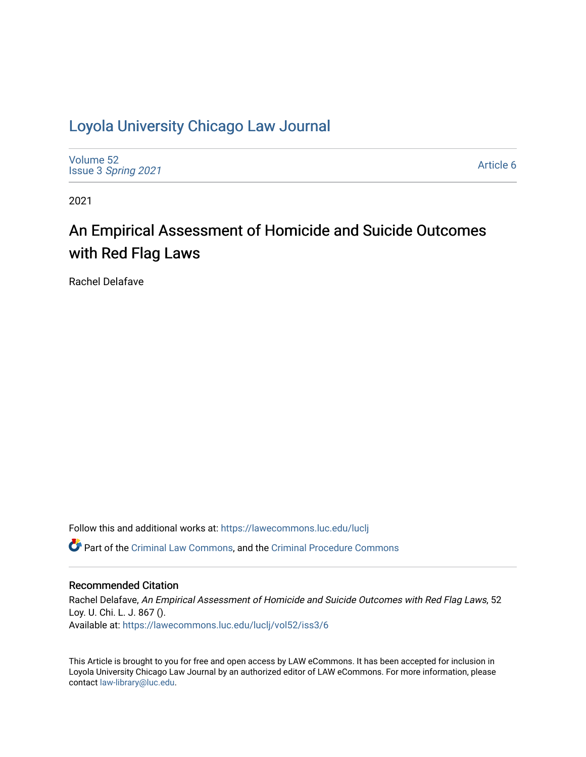# [Loyola University Chicago Law Journal](https://lawecommons.luc.edu/luclj)

[Volume 52](https://lawecommons.luc.edu/luclj/vol52) Issue 3 [Spring 2021](https://lawecommons.luc.edu/luclj/vol52/iss3) 

[Article 6](https://lawecommons.luc.edu/luclj/vol52/iss3/6) 

2021

# An Empirical Assessment of Homicide and Suicide Outcomes with Red Flag Laws

Rachel Delafave

Follow this and additional works at: [https://lawecommons.luc.edu/luclj](https://lawecommons.luc.edu/luclj?utm_source=lawecommons.luc.edu%2Fluclj%2Fvol52%2Fiss3%2F6&utm_medium=PDF&utm_campaign=PDFCoverPages) 

Part of the [Criminal Law Commons,](http://network.bepress.com/hgg/discipline/912?utm_source=lawecommons.luc.edu%2Fluclj%2Fvol52%2Fiss3%2F6&utm_medium=PDF&utm_campaign=PDFCoverPages) and the [Criminal Procedure Commons](http://network.bepress.com/hgg/discipline/1073?utm_source=lawecommons.luc.edu%2Fluclj%2Fvol52%2Fiss3%2F6&utm_medium=PDF&utm_campaign=PDFCoverPages)

# Recommended Citation

Rachel Delafave, An Empirical Assessment of Homicide and Suicide Outcomes with Red Flag Laws, 52 Loy. U. Chi. L. J. 867 (). Available at: [https://lawecommons.luc.edu/luclj/vol52/iss3/6](https://lawecommons.luc.edu/luclj/vol52/iss3/6?utm_source=lawecommons.luc.edu%2Fluclj%2Fvol52%2Fiss3%2F6&utm_medium=PDF&utm_campaign=PDFCoverPages) 

This Article is brought to you for free and open access by LAW eCommons. It has been accepted for inclusion in Loyola University Chicago Law Journal by an authorized editor of LAW eCommons. For more information, please contact [law-library@luc.edu.](mailto:law-library@luc.edu)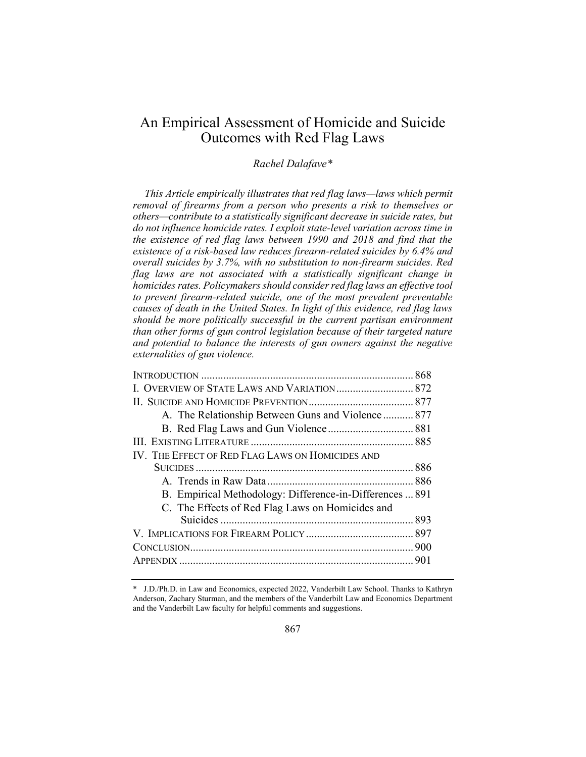# An Empirical Assessment of Homicide and Suicide Outcomes with Red Flag Laws

# *Rachel Dalafave\**

*This Article empirically illustrates that red flag laws—laws which permit removal of firearms from a person who presents a risk to themselves or others—contribute to a statistically significant decrease in suicide rates, but*  do not influence homicide rates. I exploit state-level variation across time in *the existence of red flag laws between 1990 and 2018 and find that the existence of a risk-based law reduces firearm-related suicides by 6.4% and overall suicides by 3.7%, with no substitution to non-firearm suicides. Red flag laws are not associated with a statistically significant change in homicides rates. Policymakers should consider red flag laws an effective tool to prevent firearm-related suicide, one of the most prevalent preventable causes of death in the United States. In light of this evidence, red flag laws should be more politically successful in the current partisan environment than other forms of gun control legislation because of their targeted nature and potential to balance the interests of gun owners against the negative externalities of gun violence.*

| A. The Relationship Between Guns and Violence  877       |  |
|----------------------------------------------------------|--|
|                                                          |  |
|                                                          |  |
| IV. THE EFFECT OF RED FLAG LAWS ON HOMICIDES AND         |  |
|                                                          |  |
|                                                          |  |
| B. Empirical Methodology: Difference-in-Differences  891 |  |
| C. The Effects of Red Flag Laws on Homicides and         |  |
|                                                          |  |
|                                                          |  |
|                                                          |  |
|                                                          |  |
|                                                          |  |

<sup>\*</sup> J.D./Ph.D. in Law and Economics, expected 2022, Vanderbilt Law School. Thanks to Kathryn Anderson, Zachary Sturman, and the members of the Vanderbilt Law and Economics Department and the Vanderbilt Law faculty for helpful comments and suggestions.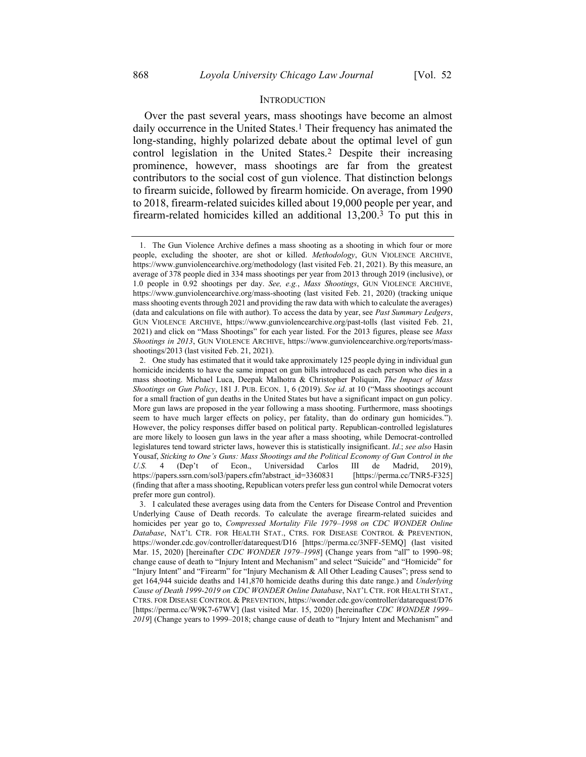# <span id="page-2-1"></span><span id="page-2-0"></span>**INTRODUCTION**

Over the past several years, mass shootings have become an almost daily occurrence in the United States.1 Their frequency has animated the long-standing, highly polarized debate about the optimal level of gun control legislation in the United States.2 Despite their increasing prominence, however, mass shootings are far from the greatest contributors to the social cost of gun violence. That distinction belongs to firearm suicide, followed by firearm homicide. On average, from 1990 to 2018, firearm-related suicides killed about 19,000 people per year, and firearm-related homicides killed an additional 13,200. 3 To put this in

<sup>1.</sup> The Gun Violence Archive defines a mass shooting as a shooting in which four or more people, excluding the shooter, are shot or killed. *Methodology*, GUN VIOLENCE ARCHIVE, https://www.gunviolencearchive.org/methodology (last visited Feb. 21, 2021). By this measure, an average of 378 people died in 334 mass shootings per year from 2013 through 2019 (inclusive), or 1.0 people in 0.92 shootings per day. *See, e.g.*, *Mass Shootings*, GUN VIOLENCE ARCHIVE, https://www.gunviolencearchive.org/mass-shooting (last visited Feb. 21, 2020) (tracking unique mass shooting events through 2021 and providing the raw data with which to calculate the averages) (data and calculations on file with author). To access the data by year, see *Past Summary Ledgers*, GUN VIOLENCE ARCHIVE, https://www.gunviolencearchive.org/past-tolls (last visited Feb. 21, 2021) and click on "Mass Shootings" for each year listed. For the 2013 figures, please see *Mass Shootings in 2013*, GUN VIOLENCE ARCHIVE, https://www.gunviolencearchive.org/reports/massshootings/2013 (last visited Feb. 21, 2021).

<sup>2.</sup> One study has estimated that it would take approximately 125 people dying in individual gun homicide incidents to have the same impact on gun bills introduced as each person who dies in a mass shooting. Michael Luca, Deepak Malhotra & Christopher Poliquin, *The Impact of Mass Shootings on Gun Policy*, 181 J. PUB. ECON. 1, 6 (2019). *See id*. at 10 ("Mass shootings account for a small fraction of gun deaths in the United States but have a significant impact on gun policy. More gun laws are proposed in the year following a mass shooting. Furthermore, mass shootings seem to have much larger effects on policy, per fatality, than do ordinary gun homicides."). However, the policy responses differ based on political party. Republican-controlled legislatures are more likely to loosen gun laws in the year after a mass shooting, while Democrat-controlled legislatures tend toward stricter laws, however this is statistically insignificant. *Id*.; *see also* Hasin Yousaf, *Sticking to One's Guns: Mass Shootings and the Political Economy of Gun Control in the U.S.* 4 (Dep't of Econ., Universidad Carlos III de Madrid, 2019), https://papers.ssrn.com/sol3/papers.cfm?abstract\_id=3360831 [https://perma.cc/TNR5-F325] (finding that after a mass shooting, Republican voters prefer less gun control while Democrat voters prefer more gun control).

<sup>3.</sup> I calculated these averages using data from the Centers for Disease Control and Prevention Underlying Cause of Death records. To calculate the average firearm-related suicides and homicides per year go to, *Compressed Mortality File 1979–1998 on CDC WONDER Online Database*, NAT'L CTR. FOR HEALTH STAT., CTRS. FOR DISEASE CONTROL & PREVENTION, https://wonder.cdc.gov/controller/datarequest/D16 [https://perma.cc/3NFF-5EMQ] (last visited Mar. 15, 2020) [hereinafter *CDC WONDER 1979–1998*] (Change years from "all" to 1990–98; change cause of death to "Injury Intent and Mechanism" and select "Suicide" and "Homicide" for "Injury Intent" and "Firearm" for "Injury Mechanism & All Other Leading Causes"; press send to get 164,944 suicide deaths and 141,870 homicide deaths during this date range.) and *Underlying Cause of Death 1999-2019 on CDC WONDER Online Database*, NAT'L CTR. FOR HEALTH STAT., CTRS. FOR DISEASE CONTROL & PREVENTION, https://wonder.cdc.gov/controller/datarequest/D76 [https://perma.cc/W9K7-67WV] (last visited Mar. 15, 2020) [hereinafter *CDC WONDER 1999– 2019*] (Change years to 1999–2018; change cause of death to "Injury Intent and Mechanism" and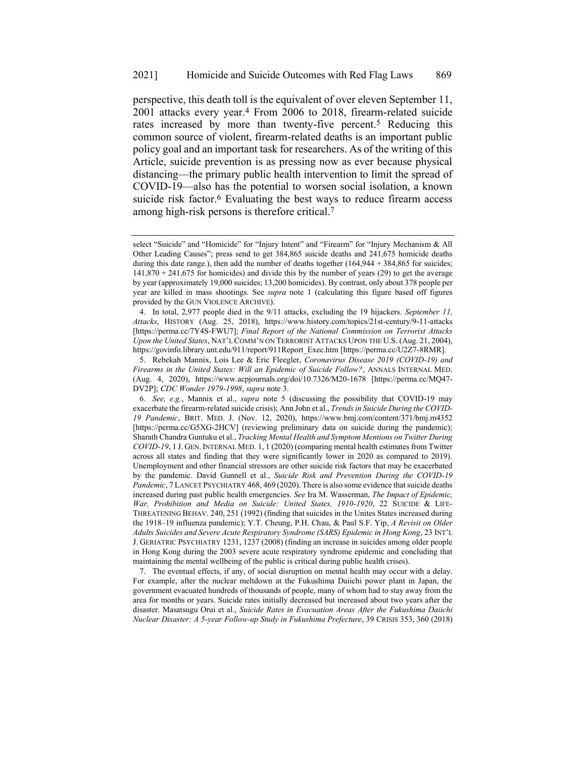<span id="page-3-0"></span>perspective, this death toll is the equivalent of over eleven September 11, 2001 attacks every year.4 From 2006 to 2018, firearm-related suicide rates increased by more than twenty-five percent.<sup>5</sup> Reducing this common source of violent, firearm-related deaths is an important public policy goal and an important task for researchers. As of the writing of this Article, suicide prevention is as pressing now as ever because physical distancing—the primary public health intervention to limit the spread of COVID-19—also has the potential to worsen social isolation, a known suicide risk factor.<sup>6</sup> Evaluating the best ways to reduce firearm access among high-risk persons is therefore critical.7

select "Suicide" and "Homicide" for "Injury Intent" and "Firearm" for "Injury Mechanism & All Other Leading Causes"; press send to get 384,865 suicide deaths and 241,675 homicide deaths during this date range.), then add the number of deaths together  $(164,944 + 384,865)$  for suicides; 141,870 + 241,675 for homicides) and divide this by the number of years (29) to get the average by year (approximately 19,000 suicides; 13,200 homicides). By contrast, only about 378 people per year are killed in mass shootings. See *supra* note [1](#page-2-0) (calculating this figure based off figures provided by the GUN VIOLENCE ARCHIVE).

<sup>4.</sup> In total, 2,977 people died in the 9/11 attacks, excluding the 19 hijackers. *September 11, Attacks*, HISTORY (Aug. 25, 2018), https://www.history.com/topics/21st-century/9-11-attacks [https://perma.cc/7Y4S-FWU7]; *Final Report of the National Commission on Terrorist Attacks Upon the United States*, NAT'L COMM'N ON TERRORIST ATTACKS UPON THE U.S. (Aug. 21, 2004), https://govinfo.library.unt.edu/911/report/911Report\_Exec.htm [https://perma.cc/U2Z7-8RMR].

<sup>5.</sup> Rebekah Mannix, Lois Lee & Eric Fleegler, *Coronavirus Disease 2019 (COVID-19) and Firearms in the United States: Will an Epidemic of Suicide Follow?*, ANNALS INTERNAL MED. (Aug. 4, 2020), https://www.acpjournals.org/doi/10.7326/M20-1678 [https://perma.cc/MQ47- DV2P]; *CDC Wonder 1979-1998*, *supra* not[e 3.](#page-2-1)

<sup>6.</sup> *See, e.g.*, Mannix et al., *supra* note [5](#page-3-0) (discussing the possibility that COVID-19 may exacerbate the firearm-related suicide crisis); Ann John et al., *Trends in Suicide During the COVID-19 Pandemic*, BRIT. MED. J. (Nov. 12, 2020), https://www.bmj.com/content/371/bmj.m4352 [https://perma.cc/G5XG-2HCV] (reviewing preliminary data on suicide during the pandemic); Sharath Chandra Guntuku et al., *Tracking Mental Health and Symptom Mentions on Twitter During COVID-19*, 1 J. GEN. INTERNAL MED. 1, 1 (2020) (comparing mental health estimates from Twitter across all states and finding that they were significantly lower in 2020 as compared to 2019). Unemployment and other financial stressors are other suicide risk factors that may be exacerbated by the pandemic. David Gunnell et al., *Suicide Risk and Prevention During the COVID-19 Pandemic*, 7 LANCET PSYCHIATRY 468, 469 (2020). There is also some evidence that suicide deaths increased during past public health emergencies. *See* Ira M. Wasserman, *The Impact of Epidemic, War, Prohibition and Media on Suicide: United States, 1910-1920*, 22 SUICIDE & LIFE-THREATENING BEHAV. 240, 251 (1992) (finding that suicides in the Unites States increased during the 1918–19 influenza pandemic); Y.T. Cheung, P.H. Chau, & Paul S.F. Yip, *A Revisit on Older Adults Suicides and Severe Acute Respiratory Syndrome (SARS) Epidemic in Hong Kong*, 23 INT'L J. GERIATRIC PSYCHIATRY 1231, 1237 (2008) (finding an increase in suicides among older people in Hong Kong during the 2003 severe acute respiratory syndrome epidemic and concluding that maintaining the mental wellbeing of the public is critical during public health crises).

<sup>7.</sup> The eventual effects, if any, of social disruption on mental health may occur with a delay. For example, after the nuclear meltdown at the Fukushima Daiichi power plant in Japan, the government evacuated hundreds of thousands of people, many of whom had to stay away from the area for months or years. Suicide rates initially decreased but increased about two years after the disaster. Masatsugu Orui et al., *Suicide Rates in Evacuation Areas After the Fukushima Daiichi Nuclear Disaster: A 5-year Follow-up Study in Fukushima Prefecture*, 39 CRISIS 353, 360 (2018)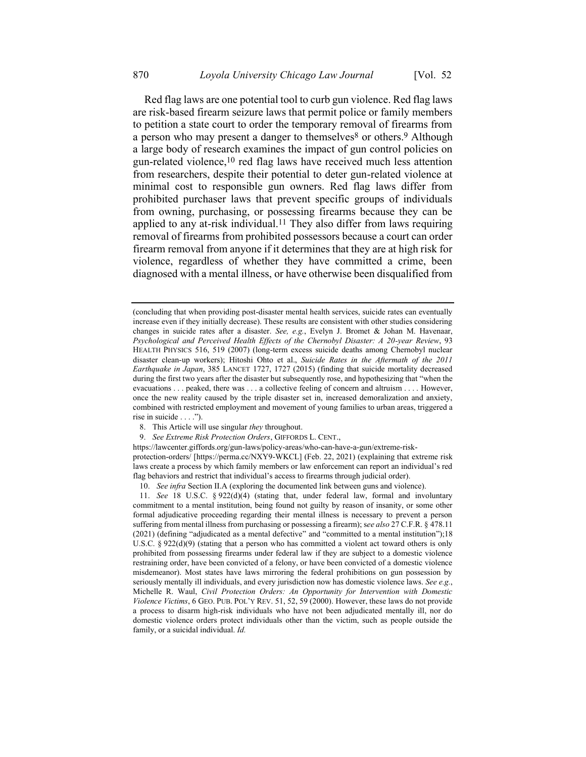<span id="page-4-0"></span>Red flag laws are one potential tool to curb gun violence. Red flag laws are risk-based firearm seizure laws that permit police or family members to petition a state court to order the temporary removal of firearms from a person who may present a danger to themselves<sup>8</sup> or others.<sup>9</sup> Although a large body of research examines the impact of gun control policies on gun-related violence,10 red flag laws have received much less attention from researchers, despite their potential to deter gun-related violence at minimal cost to responsible gun owners. Red flag laws differ from prohibited purchaser laws that prevent specific groups of individuals from owning, purchasing, or possessing firearms because they can be applied to any at-risk individual.<sup>11</sup> They also differ from laws requiring removal of firearms from prohibited possessors because a court can order firearm removal from anyone if it determines that they are at high risk for violence, regardless of whether they have committed a crime, been diagnosed with a mental illness, or have otherwise been disqualified from

<span id="page-4-1"></span><sup>(</sup>concluding that when providing post-disaster mental health services, suicide rates can eventually increase even if they initially decrease). These results are consistent with other studies considering changes in suicide rates after a disaster. *See, e.g.*, Evelyn J. Bromet & Johan M. Havenaar, *Psychological and Perceived Health Effects of the Chernobyl Disaster: A 20-year Review*, 93 HEALTH PHYSICS 516, 519 (2007) (long-term excess suicide deaths among Chernobyl nuclear disaster clean-up workers); Hitoshi Ohto et al., *Suicide Rates in the Aftermath of the 2011 Earthquake in Japan*, 385 LANCET 1727, 1727 (2015) (finding that suicide mortality decreased during the first two years after the disaster but subsequently rose, and hypothesizing that "when the evacuations . . . peaked, there was . . . a collective feeling of concern and altruism . . . . However, once the new reality caused by the triple disaster set in, increased demoralization and anxiety, combined with restricted employment and movement of young families to urban areas, triggered a rise in suicide . . . .").

<sup>8.</sup> This Article will use singular *they* throughout.

<sup>9.</sup> *See Extreme Risk Protection Orders*, GIFFORDS L. CENT.,

https://lawcenter.giffords.org/gun-laws/policy-areas/who-can-have-a-gun/extreme-riskprotection-orders/ [https://perma.cc/NXY9-WKCL] (Feb. 22, 2021) (explaining that extreme risk laws create a process by which family members or law enforcement can report an individual's red flag behaviors and restrict that individual's access to firearms through judicial order).

<sup>10.</sup> *See infra* Section II.A (exploring the documented link between guns and violence).

<sup>11.</sup> *See* 18 U.S.C. § 922(d)(4) (stating that, under federal law, formal and involuntary commitment to a mental institution, being found not guilty by reason of insanity, or some other formal adjudicative proceeding regarding their mental illness is necessary to prevent a person suffering from mental illness from purchasing or possessing a firearm); s*ee also* 27 C.F.R. § 478.11 (2021) (defining "adjudicated as a mental defective" and "committed to a mental institution");18 U.S.C.  $\S 922(d)(9)$  (stating that a person who has committed a violent act toward others is only prohibited from possessing firearms under federal law if they are subject to a domestic violence restraining order, have been convicted of a felony, or have been convicted of a domestic violence misdemeanor). Most states have laws mirroring the federal prohibitions on gun possession by seriously mentally ill individuals, and every jurisdiction now has domestic violence laws. *See e.g.*, Michelle R. Waul, *Civil Protection Orders: An Opportunity for Intervention with Domestic Violence Victims*, 6 GEO. PUB. POL'Y REV. 51, 52, 59 (2000). However, these laws do not provide a process to disarm high-risk individuals who have not been adjudicated mentally ill, nor do domestic violence orders protect individuals other than the victim, such as people outside the family, or a suicidal individual. *Id.*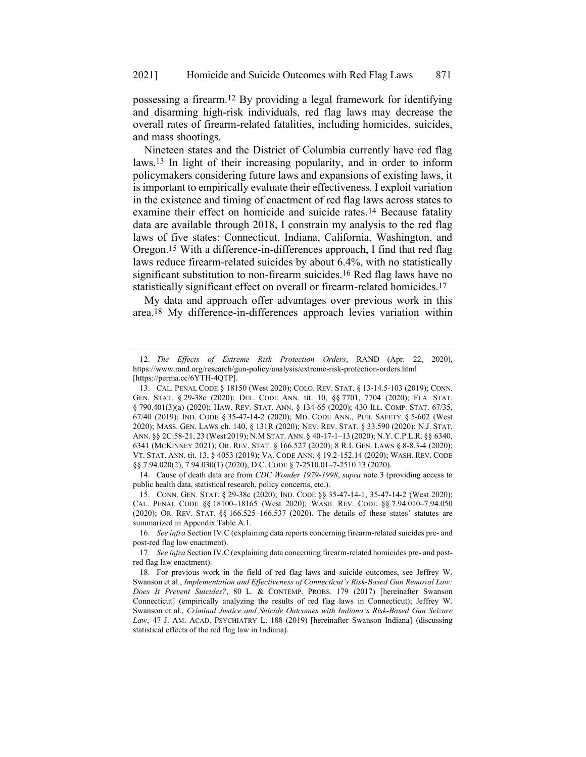<span id="page-5-1"></span>possessing a firearm.12 By providing a legal framework for identifying and disarming high-risk individuals, red flag laws may decrease the overall rates of firearm-related fatalities, including homicides, suicides, and mass shootings.

<span id="page-5-0"></span>Nineteen states and the District of Columbia currently have red flag laws.13 In light of their increasing popularity, and in order to inform policymakers considering future laws and expansions of existing laws, it is important to empirically evaluate their effectiveness. I exploit variation in the existence and timing of enactment of red flag laws across states to examine their effect on homicide and suicide rates.14 Because fatality data are available through 2018, I constrain my analysis to the red flag laws of five states: Connecticut, Indiana, California, Washington, and Oregon.15 With a difference-in-differences approach, I find that red flag laws reduce firearm-related suicides by about 6.4%, with no statistically significant substitution to non-firearm suicides.<sup>16</sup> Red flag laws have no statistically significant effect on overall or firearm-related homicides.17

<span id="page-5-2"></span>My data and approach offer advantages over previous work in this area.18 My difference-in-differences approach levies variation within

<sup>12.</sup> *The Effects of Extreme Risk Protection Orders*, RAND (Apr. 22, 2020), https://www.rand.org/research/gun-policy/analysis/extreme-risk-protection-orders.html [https://perma.cc/6YTH-4QTP].

<sup>13.</sup> CAL. PENAL CODE § 18150 (West 2020); COLO. REV. STAT. § 13-14.5-103 (2019); CONN. GEN. STAT. § 29-38c (2020); DEL. CODE ANN. tit. 10, §§ 7701, 7704 (2020); FLA. STAT. § 790.401(3)(a) (2020); HAW. REV. STAT. ANN. § 134-65 (2020); 430 ILL. COMP. STAT. 67/35, 67/40 (2019); IND. CODE § 35-47-14-2 (2020); MD. CODE ANN., PUB. SAFETY § 5-602 (West 2020); MASS. GEN. LAWS ch. 140, § 131R (2020); NEV. REV. STAT. § 33.590 (2020); N.J. STAT. ANN. §§ 2C:58-21, 23 (West 2019); N.M STAT. ANN. § 40-17-1–13 (2020); N.Y.C.P.L.R. §§ 6340, 6341 (MCKINNEY 2021); OR. REV. STAT. § 166.527 (2020); 8 R.I. GEN. LAWS § 8-8.3-4 (2020); VT. STAT. ANN. tit. 13, § 4053 (2019); VA. CODE ANN. § 19.2-152.14 (2020); WASH. REV. CODE §§ 7.94.020(2), 7.94.030(1) (2020); D.C. CODE § 7-2510.01-7-2510.13 (2020).

<sup>14.</sup> Cause of death data are from *CDC Wonder 1979-1998*, *supra* note [3](#page-2-1) (providing access to public health data, statistical research, policy concerns, etc.).

<sup>15.</sup> CONN. GEN. STAT. § 29-38c (2020); IND. CODE §§ 35-47-14-1, 35-47-14-2 (West 2020); CAL. PENAL CODE §§ 18100–18165 (West 2020); WASH. REV. CODE §§ 7.94.010–7.94.050 (2020); OR. REV. STAT. §§ 166.525–166.537 (2020). The details of these states' statutes are summarized in Appendix Table A.1.

<sup>16.</sup> *See infra* Section IV.C (explaining data reports concerning firearm-related suicides pre- and post-red flag law enactment).

<sup>17.</sup> *See infra* Section IV.C (explaining data concerning firearm-related homicides pre- and postred flag law enactment).

<sup>18.</sup> For previous work in the field of red flag laws and suicide outcomes, see Jeffrey W. Swanson et al., *[Implementation and](https://1.next.westlaw.com/Link/Document/FullText?findType=Y&serNum=0458293192&pubNum=0001464&originatingDoc=I9e95db168f4411ea80afece799150095&refType=LR&fi=co_pp_sp_1464_185&originationContext=document&transitionType=DocumentItem&contextData=(sc.Keycite)#co_pp_sp_1464_185) Effectiveness of Connecticut's Risk-Based Gun Removal Law: [Does It Prevent Suicides?](https://1.next.westlaw.com/Link/Document/FullText?findType=Y&serNum=0458293192&pubNum=0001464&originatingDoc=I9e95db168f4411ea80afece799150095&refType=LR&fi=co_pp_sp_1464_185&originationContext=document&transitionType=DocumentItem&contextData=(sc.Keycite)#co_pp_sp_1464_185)*, 80 L. & CONTEMP. PROBS. 179 (2017) [hereinafter Swanson Connecticut] (empirically analyzing the results of red flag laws in Connecticut); Jeffrey W. Swanson et al., *Criminal Justice and Suicide Outcomes with Indiana's Risk-Based Gun Seizure Law*, 47 J. AM. ACAD. PSYCHIATRY L. 188 (2019) [hereinafter Swanson Indiana] (discussing statistical effects of the red flag law in Indiana).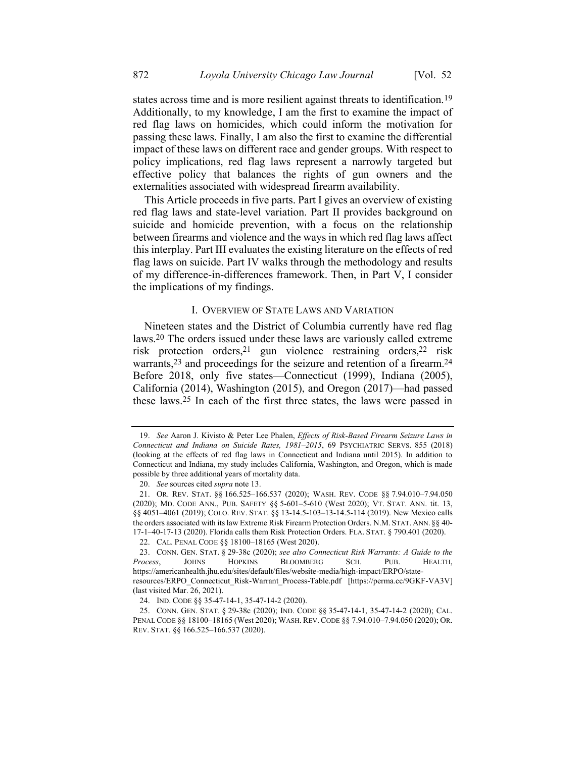<span id="page-6-0"></span>states across time and is more resilient against threats to identification.<sup>19</sup> Additionally, to my knowledge, I am the first to examine the impact of red flag laws on homicides, which could inform the motivation for passing these laws. Finally, I am also the first to examine the differential impact of these laws on different race and gender groups. With respect to policy implications, red flag laws represent a narrowly targeted but effective policy that balances the rights of gun owners and the externalities associated with widespread firearm availability.

This Article proceeds in five parts. Part I gives an overview of existing red flag laws and state-level variation. Part II provides background on suicide and homicide prevention, with a focus on the relationship between firearms and violence and the ways in which red flag laws affect this interplay. Part III evaluates the existing literature on the effects of red flag laws on suicide. Part IV walks through the methodology and results of my difference-in-differences framework. Then, in Part V, I consider the implications of my findings.

# I. OVERVIEW OF STATE LAWS AND VARIATION

Nineteen states and the District of Columbia currently have red flag laws.20 The orders issued under these laws are variously called extreme risk protection orders,21 gun violence restraining orders,22 risk warrants,<sup>23</sup> and proceedings for the seizure and retention of a firearm.<sup>24</sup> Before 2018, only five states—Connecticut (1999), Indiana (2005), California (2014), Washington (2015), and Oregon (2017)—had passed these laws.25 In each of the first three states, the laws were passed in

<sup>19.</sup> *See* Aaron J. Kivisto & Peter Lee Phalen, *Effects of Risk-Based Firearm Seizure Laws in Connecticut and Indiana on Suicide Rates, 1981–2015*, 69 PSYCHIATRIC SERVS. 855 (2018) (looking at the effects of red flag laws in Connecticut and Indiana until 2015). In addition to Connecticut and Indiana, my study includes California, Washington, and Oregon, which is made possible by three additional years of mortality data.

<sup>20.</sup> *See* sources cited *supra* not[e 13.](#page-5-0)

<sup>21.</sup> OR. REV. STAT. §§ 166.525–166.537 (2020); WASH. REV. CODE §§ 7.94.010–7.94.050 (2020); MD. CODE ANN., PUB. SAFETY §§ 5-601–5-610 (West 2020); VT. STAT. ANN. tit. 13, §§ 4051–4061 (2019); COLO. REV. STAT. §§ 13-14.5-103–13-14.5-114 (2019). New Mexico calls the orders associated with its law Extreme Risk Firearm Protection Orders. N.M. STAT. ANN. §§ 40- 17-1–40-17-13 (2020). Florida calls them Risk Protection Orders. FLA. STAT. § 790.401 (2020).

<sup>22.</sup> CAL. PENAL CODE §§ 18100–18165 (West 2020).

<sup>23.</sup> CONN. GEN. STAT. § 29-38c (2020); *see also Connecticut Risk Warrants: A Guide to the Process*, JOHNS HOPKINS BLOOMBERG SCH. PUB. HEALTH, https://americanhealth.jhu.edu/sites/default/files/website-media/high-impact/ERPO/stateresources/ERPO\_Connecticut\_Risk-Warrant\_Process-Table.pdf [https://perma.cc/9GKF-VA3V] (last visited Mar. 26, 2021).

<sup>24.</sup> IND. CODE §§ 35-47-14-1, 35-47-14-2 (2020).

<sup>25.</sup> CONN. GEN. STAT. § 29-38c (2020); IND. CODE §§ 35-47-14-1, 35-47-14-2 (2020); CAL. PENAL CODE §§ 18100–18165 (West 2020); WASH. REV. CODE §§ 7.94.010–7.94.050 (2020); OR. REV. STAT. §§ 166.525–166.537 (2020).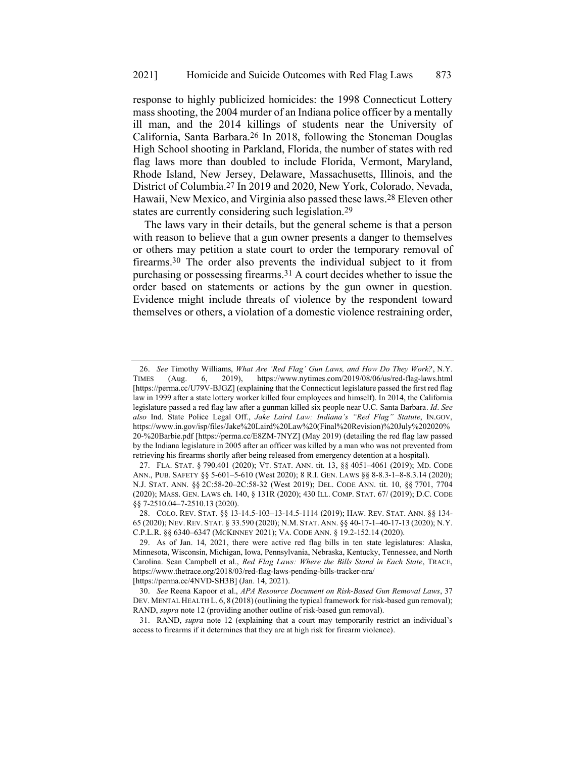response to highly publicized homicides: the 1998 Connecticut Lottery mass shooting, the 2004 murder of an Indiana police officer by a mentally ill man, and the 2014 killings of students near the University of California, Santa Barbara.26 In 2018, following the Stoneman Douglas High School shooting in Parkland, Florida, the number of states with red flag laws more than doubled to include Florida, Vermont, Maryland, Rhode Island, New Jersey, Delaware, Massachusetts, Illinois, and the District of Columbia.27 In 2019 and 2020, New York, Colorado, Nevada, Hawaii, New Mexico, and Virginia also passed these laws. 28 Eleven other states are currently considering such legislation.29

<span id="page-7-0"></span>The laws vary in their details, but the general scheme is that a person with reason to believe that a gun owner presents a danger to themselves or others may petition a state court to order the temporary removal of firearms.30 The order also prevents the individual subject to it from purchasing or possessing firearms.31 A court decides whether to issue the order based on statements or actions by the gun owner in question. Evidence might include threats of violence by the respondent toward themselves or others, a violation of a domestic violence restraining order,

[https://perma.cc/4NVD-SH3B] (Jan. 14, 2021).

<sup>26.</sup> *See* Timothy Williams, *What Are 'Red Flag' Gun Laws, and How Do They Work?*, N.Y. TIMES (Aug. 6, 2019), https://www.nytimes.com/2019/08/06/us/red-flag-laws.html [https://perma.cc/U79V-BJGZ] (explaining that the Connecticut legislature passed the first red flag law in 1999 after a state lottery worker killed four employees and himself). In 2014, the California legislature passed a red flag law after a gunman killed six people near U.C. Santa Barbara. *Id*. *See also* Ind. State Police Legal Off., *Jake Laird Law: Indiana's "Red Flag" Statute*, IN.GOV, https://www.in.gov/isp/files/Jake%20Laird%20Law%20(Final%20Revision)%20July%202020% 20-%20Barbie.pdf [https://perma.cc/E8ZM-7NYZ] (May 2019) (detailing the red flag law passed by the Indiana legislature in 2005 after an officer was killed by a man who was not prevented from retrieving his firearms shortly after being released from emergency detention at a hospital).

<sup>27.</sup> FLA. STAT. § 790.401 (2020); VT. STAT. ANN. tit. 13, §§ 4051–4061 (2019); MD. CODE ANN., PUB. SAFETY §§ 5-601–5-610 (West 2020); 8 R.I. GEN. LAWS §§ 8-8.3-1–8-8.3.14 (2020); N.J. STAT. ANN. §§ 2C:58-20–2C:58-32 (West 2019); DEL. CODE ANN. tit. 10, §§ 7701, 7704 (2020); MASS. GEN. LAWS ch. 140, § 131R (2020); 430 ILL. COMP. STAT. 67/ (2019); D.C. CODE §§ 7-2510.04–7-2510.13 (2020).

<sup>28.</sup> COLO. REV. STAT. §§ 13-14.5-103–13-14.5-1114 (2019); HAW. REV. STAT. ANN. §§ 134- 65 (2020); NEV. REV. STAT. § 33.590 (2020); N.M. STAT. ANN. §§ 40-17-1–40-17-13 (2020); N.Y. C.P.L.R. §§ 6340–6347 (MCKINNEY 2021); VA. CODE ANN. § 19.2-152.14 (2020).

<sup>29.</sup> As of Jan. 14, 2021, there were active red flag bills in ten state legislatures: Alaska, Minnesota, Wisconsin, Michigan, Iowa, Pennsylvania, Nebraska, Kentucky, Tennessee, and North Carolina. Sean Campbell et al., *Red Flag Laws: Where the Bills Stand in Each State*, TRACE, https://www.thetrace.org/2018/03/red-flag-laws-pending-bills-tracker-nra/

<sup>30.</sup> *See* Reena Kapoor et al., *APA Resource Document on Risk-Based Gun Removal Laws*, 37 DEV. MENTAL HEALTH L. 6, 8 (2018) (outlining the typical framework for risk-based gun removal); RAND, *supra* note [12](#page-5-1) (providing another outline of risk-based gun removal).

<sup>31.</sup> RAND, *supra* note [12](#page-5-1) (explaining that a court may temporarily restrict an individual's access to firearms if it determines that they are at high risk for firearm violence).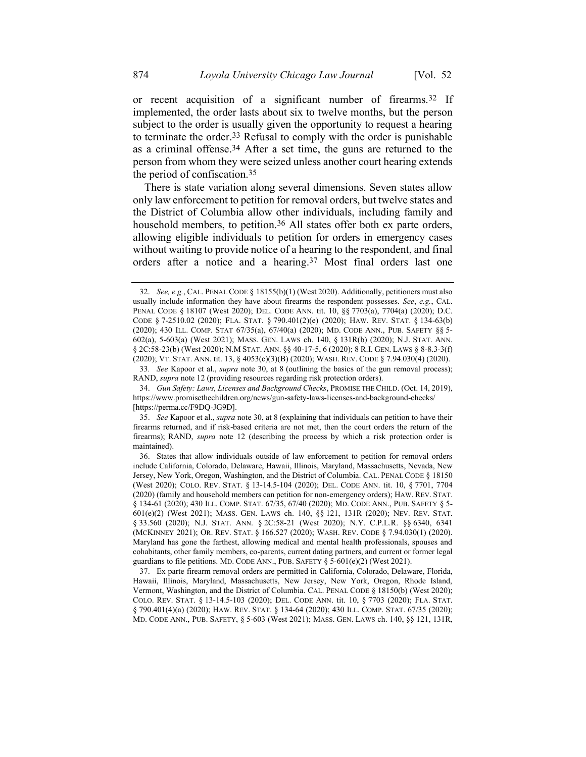or recent acquisition of a significant number of firearms.32 If implemented, the order lasts about six to twelve months, but the person subject to the order is usually given the opportunity to request a hearing to terminate the order.33 Refusal to comply with the order is punishable as a criminal offense. 34 After a set time, the guns are returned to the person from whom they were seized unless another court hearing extends the period of confiscation.35

There is state variation along several dimensions. Seven states allow only law enforcement to petition for removal orders, but twelve states and the District of Columbia allow other individuals, including family and household members, to petition.<sup>36</sup> All states offer both ex parte orders, allowing eligible individuals to petition for orders in emergency cases without waiting to provide notice of a hearing to the respondent, and final orders after a notice and a hearing.37 Most final orders last one

<sup>32.</sup> *See, e.g.*, CAL. PENAL CODE § 18155(b)(1) (West 2020). Additionally, petitioners must also usually include information they have about firearms the respondent possesses. *See*, *e.g.*, CAL. PENAL CODE § 18107 (West 2020); DEL. CODE ANN. tit. 10, §§ 7703(a), 7704(a) (2020); D.C. CODE § 7-2510.02 (2020); FLA. STAT. § 790.401(2)(e) (2020); HAW. REV. STAT. § 134-63(b) (2020); 430 ILL. COMP. STAT 67/35(a), 67/40(a) (2020); MD. CODE ANN., PUB. SAFETY §§ 5- 602(a), 5-603(a) (West 2021); MASS. GEN. LAWS ch. 140, § 131R(b) (2020); N.J. STAT. ANN. § 2C:58-23(b) (West 2020); N.M STAT. ANN. §§ 40-17-5, 6 (2020); 8 R.I. GEN. LAWS § 8-8.3-3(f) (2020); VT. STAT. ANN. tit. 13, § 4053(c)(3)(B) (2020); WASH. REV. CODE § 7.94.030(4) (2020).

<sup>33</sup>*. See* Kapoor et al., *supra* note [30,](#page-7-0) at 8 (outlining the basics of the gun removal process); RAND, *supra* not[e 12](#page-5-1) (providing resources regarding risk protection orders).

<sup>34.</sup> *Gun Safety: Laws, Licenses and Background Checks*, PROMISE THE CHILD. (Oct. 14, 2019), https://www.promisethechildren.org/news/gun-safety-laws-licenses-and-background-checks/ [https://perma.cc/F9DQ-JG9D].

<sup>35.</sup> *See* Kapoor et al., *supra* note [30,](#page-7-0) at 8 (explaining that individuals can petition to have their firearms returned, and if risk-based criteria are not met, then the court orders the return of the firearms); RAND, *supra* note [12](#page-5-1) (describing the process by which a risk protection order is maintained).

<sup>36.</sup> States that allow individuals outside of law enforcement to petition for removal orders include California, Colorado, Delaware, Hawaii, Illinois, Maryland, Massachusetts, Nevada, New Jersey, New York, Oregon, Washington, and the District of Columbia. CAL. PENAL CODE § 18150 (West 2020); COLO. REV. STAT. § 13-14.5-104 (2020); DEL. CODE ANN. tit. 10, § 7701, 7704 (2020) (family and household members can petition for non-emergency orders); HAW. REV. STAT. § 134-61 (2020); 430 ILL. COMP. STAT. 67/35, 67/40 (2020); MD. CODE ANN., PUB. SAFETY § 5-601(e)(2) (West 2021); MASS. GEN. LAWS ch. 140, §§ 121, 131R (2020); NEV. REV. STAT. § 33.560 (2020); N.J. STAT. ANN. § 2C:58-21 (West 2020); N.Y. C.P.L.R. §§ 6340, 6341 (MCKINNEY 2021); OR. REV. STAT. § 166.527 (2020); WASH. REV. CODE § 7.94.030(1) (2020). Maryland has gone the farthest, allowing medical and mental health professionals, spouses and cohabitants, other family members, co-parents, current dating partners, and current or former legal guardians to file petitions. MD. CODE ANN., PUB. SAFETY § 5-601(e)(2) (West 2021).

<sup>37.</sup> Ex parte firearm removal orders are permitted in California, Colorado, Delaware, Florida, Hawaii, Illinois, Maryland, Massachusetts, New Jersey, New York, Oregon, Rhode Island, Vermont, Washington, and the District of Columbia. CAL. PENAL CODE § 18150(b) (West 2020); COLO. REV. STAT. § 13-14.5-103 (2020); DEL. CODE ANN. tit. 10, § 7703 (2020); FLA. STAT. § 790.401(4)(a) (2020); HAW. REV. STAT. § 134-64 (2020); 430 ILL. COMP. STAT. 67/35 (2020); MD. CODE ANN., PUB. SAFETY, § 5-603 (West 2021); MASS. GEN. LAWS ch. 140, §§ 121, 131R,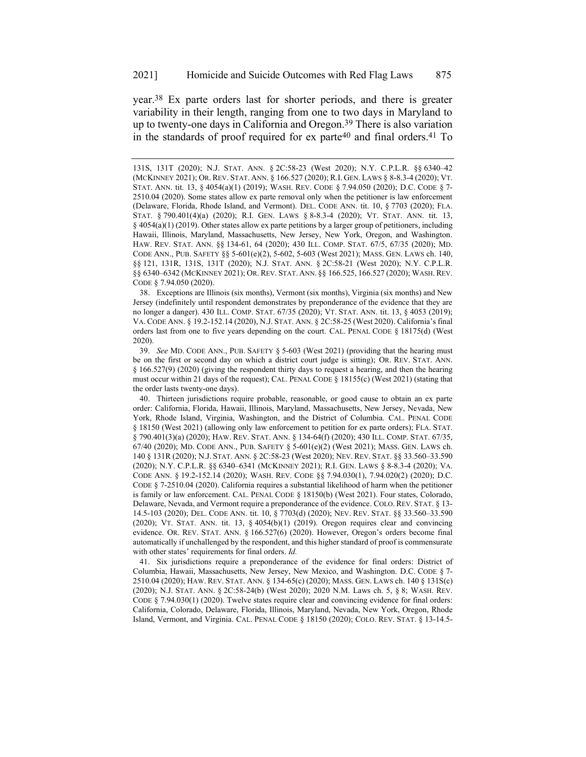year.38 Ex parte orders last for shorter periods, and there is greater variability in their length, ranging from one to two days in Maryland to up to twenty-one days in California and Oregon.39 There is also variation in the standards of proof required for  $ex$  parte<sup>40</sup> and final orders.<sup>41</sup> To

38. Exceptions are Illinois (six months), Vermont (six months), Virginia (six months) and New Jersey (indefinitely until respondent demonstrates by preponderance of the evidence that they are no longer a danger). 430 ILL. COMP. STAT. 67/35 (2020); VT. STAT. ANN. tit. 13, § 4053 (2019); VA. CODE ANN. § 19.2-152.14 (2020), N.J. STAT. ANN. § 2C:58-25 (West 2020). California's final orders last from one to five years depending on the court. CAL. PENAL CODE § 18175(d) (West 2020).

39. *See* MD. CODE ANN., PUB. SAFETY § 5-603 (West 2021) (providing that the hearing must be on the first or second day on which a district court judge is sitting); OR. REV. STAT. ANN. § 166.527(9) (2020) (giving the respondent thirty days to request a hearing, and then the hearing must occur within 21 days of the request); CAL. PENAL CODE § 18155(c) (West 2021) (stating that the order lasts twenty-one days).

40. Thirteen jurisdictions require probable, reasonable, or good cause to obtain an ex parte order: California, Florida, Hawaii, Illinois, Maryland, Massachusetts, New Jersey, Nevada, New York, Rhode Island, Virginia, Washington, and the District of Columbia. CAL. PENAL CODE § 18150 (West 2021) (allowing only law enforcement to petition for ex parte orders); FLA. STAT. § 790.401(3)(a) (2020); HAW. REV. STAT. ANN. § 134-64(f) (2020); 430 ILL. COMP. STAT. 67/35, 67/40 (2020); MD. CODE ANN., PUB. SAFETY § 5-601(e)(2) (West 2021); MASS. GEN. LAWS ch. 140 § 131R (2020); N.J. STAT. ANN. § 2C:58-23 (West 2020); NEV. REV. STAT. §§ 33.560–33.590 (2020); N.Y. C.P.L.R. §§ 6340–6341 (MCKINNEY 2021); R.I. GEN. LAWS § 8-8.3-4 (2020); VA. CODE ANN. § 19.2-152.14 (2020); WASH. REV. CODE §§ 7.94.030(1), 7.94.020(2) (2020); D.C. CODE § 7-2510.04 (2020). California requires a substantial likelihood of harm when the petitioner is family or law enforcement. CAL. PENAL CODE § 18150(b) (West 2021). Four states, Colorado, Delaware, Nevada, and Vermont require a preponderance of the evidence. COLO. REV. STAT. § 13- 14.5-103 (2020); DEL. CODE ANN. tit. 10, § 7703(d) (2020); NEV. REV. STAT. §§ 33.560–33.590 (2020); VT. STAT. ANN. tit. 13,  $\S$  4054(b)(1) (2019). Oregon requires clear and convincing evidence. OR. REV. STAT. ANN. § 166.527(6) (2020). However, Oregon's orders become final automatically if unchallenged by the respondent, and this higher standard of proof is commensurate with other states' requirements for final orders. *Id.*

41. Six jurisdictions require a preponderance of the evidence for final orders: District of Columbia, Hawaii, Massachusetts, New Jersey, New Mexico, and Washington. D.C. CODE § 7- 2510.04 (2020); HAW. REV. STAT. ANN. § 134-65(c) (2020); MASS. GEN. LAWS ch. 140 § 131S(c) (2020); N.J. STAT. ANN. § 2C:58-24(b) (West 2020); 2020 N.M. Laws ch. 5, § 8; WASH. REV. CODE § 7.94.030(1) (2020). Twelve states require clear and convincing evidence for final orders: California, Colorado, Delaware, Florida, Illinois, Maryland, Nevada, New York, Oregon, Rhode Island, Vermont, and Virginia. CAL. PENAL CODE § 18150 (2020); COLO. REV. STAT. § 13-14.5-

<sup>131</sup>S, 131T (2020); N.J. STAT. ANN. § 2C:58-23 (West 2020); N.Y. C.P.L.R. §§ 6340–42 (MCKINNEY 2021); OR. REV. STAT. ANN. § 166.527 (2020); R.I. GEN. LAWS § 8-8.3-4 (2020); VT. STAT. ANN. tit. 13, § 4054(a)(1) (2019); WASH. REV. CODE § 7.94.050 (2020); D.C. CODE § 7- 2510.04 (2020). Some states allow ex parte removal only when the petitioner is law enforcement (Delaware, Florida, Rhode Island, and Vermont). DEL. CODE ANN. tit. 10, § 7703 (2020); FLA. STAT. § 790.401(4)(a) (2020); R.I. GEN. LAWS § 8-8.3-4 (2020); VT. STAT. ANN. tit. 13, § 4054(a)(1) (2019). Other states allow ex parte petitions by a larger group of petitioners, including Hawaii, Illinois, Maryland, Massachusetts, New Jersey, New York, Oregon, and Washington. HAW. REV. STAT. ANN. §§ 134-61, 64 (2020); 430 ILL. COMP. STAT. 67/5, 67/35 (2020); MD. CODE ANN., PUB. SAFETY §§ 5-601(e)(2), 5-602, 5-603 (West 2021); MASS. GEN. LAWS ch. 140, §§ 121, 131R, 131S, 131T (2020); N.J. STAT. ANN. § 2C:58-21 (West 2020); N.Y. C.P.L.R. §§ 6340–6342 (MCKINNEY 2021); OR. REV. STAT. ANN. §§ 166.525, 166.527 (2020); WASH. REV. CODE § 7.94.050 (2020).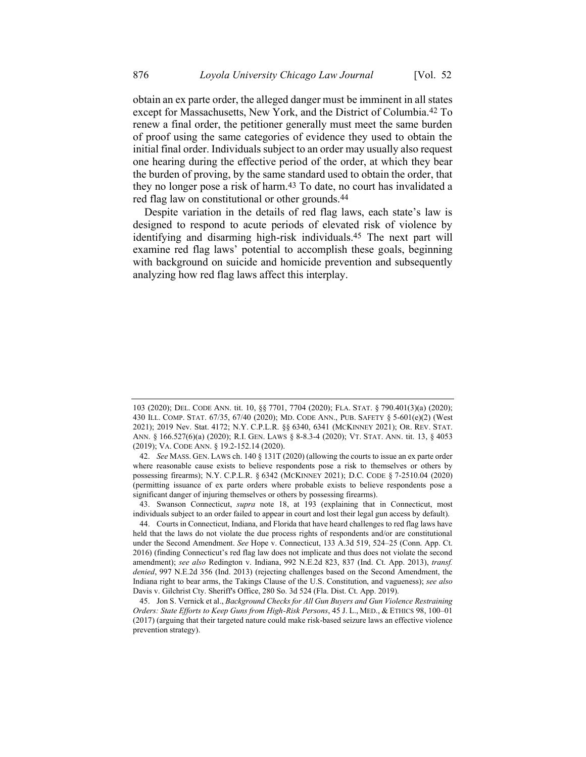obtain an ex parte order, the alleged danger must be imminent in all states except for Massachusetts, New York, and the District of Columbia.42 To renew a final order, the petitioner generally must meet the same burden of proof using the same categories of evidence they used to obtain the initial final order. Individuals subject to an order may usually also request one hearing during the effective period of the order, at which they bear the burden of proving, by the same standard used to obtain the order, that they no longer pose a risk of harm.<sup>43</sup> To date, no court has invalidated a red flag law on constitutional or other grounds.<sup>44</sup>

<span id="page-10-0"></span>Despite variation in the details of red flag laws, each state's law is designed to respond to acute periods of elevated risk of violence by identifying and disarming high-risk individuals.45 The next part will examine red flag laws' potential to accomplish these goals, beginning with background on suicide and homicide prevention and subsequently analyzing how red flag laws affect this interplay.

<sup>103</sup> (2020); DEL. CODE ANN. tit. 10, §§ 7701, 7704 (2020); FLA. STAT. § 790.401(3)(a) (2020); 430 ILL. COMP. STAT. 67/35, 67/40 (2020); MD. CODE ANN., PUB. SAFETY § 5-601(e)(2) (West 2021); 2019 Nev. Stat. 4172; N.Y. C.P.L.R. §§ 6340, 6341 (MCKINNEY 2021); OR. REV. STAT. ANN. § 166.527(6)(a) (2020); R.I. GEN. LAWS § 8-8.3-4 (2020); VT. STAT. ANN. tit. 13, § 4053 (2019); VA. CODE ANN. § 19.2-152.14 (2020).

<sup>42.</sup> *See* MASS. GEN. LAWS ch. 140 § 131T (2020) (allowing the courts to issue an ex parte order where reasonable cause exists to believe respondents pose a risk to themselves or others by possessing firearms); N.Y. C.P.L.R. § 6342 (MCKINNEY 2021); D.C. CODE § 7-2510.04 (2020) (permitting issuance of ex parte orders where probable exists to believe respondents pose a significant danger of injuring themselves or others by possessing firearms).

<sup>43.</sup> Swanson Connecticut, *supra* note [18,](#page-5-2) at 193 (explaining that in Connecticut, most individuals subject to an order failed to appear in court and lost their legal gun access by default).

<sup>44.</sup> Courts in Connecticut, Indiana, and Florida that have heard challenges to red flag laws have held that the laws do not violate the due process rights of respondents and/or are constitutional under the Second Amendment. *See* Hope v. Connecticut, 133 A.3d 519, 524–25 (Conn. App. Ct. 2016) (finding Connecticut's red flag law does not implicate and thus does not violate the second amendment); *see also* Redington v. Indiana, 992 N.E.2d 823, 837 (Ind. Ct. App. 2013), *transf. denied*, 997 N.E.2d 356 (Ind. 2013) (rejecting challenges based on the Second Amendment, the Indiana right to bear arms, the Takings Clause of the U.S. Constitution, and vagueness); *see also* Davis v. Gilchrist Cty. Sheriff's Office, 280 So. 3d 524 (Fla. Dist. Ct. App. 2019).

<sup>45.</sup> Jon S. Vernick et al., *Background Checks for All Gun Buyers and Gun Violence Restraining Orders: State Efforts to Keep Guns from High-Risk Persons*, 45 J. L., MED., & ETHICS 98, 100–01 (2017) (arguing that their targeted nature could make risk-based seizure laws an effective violence prevention strategy).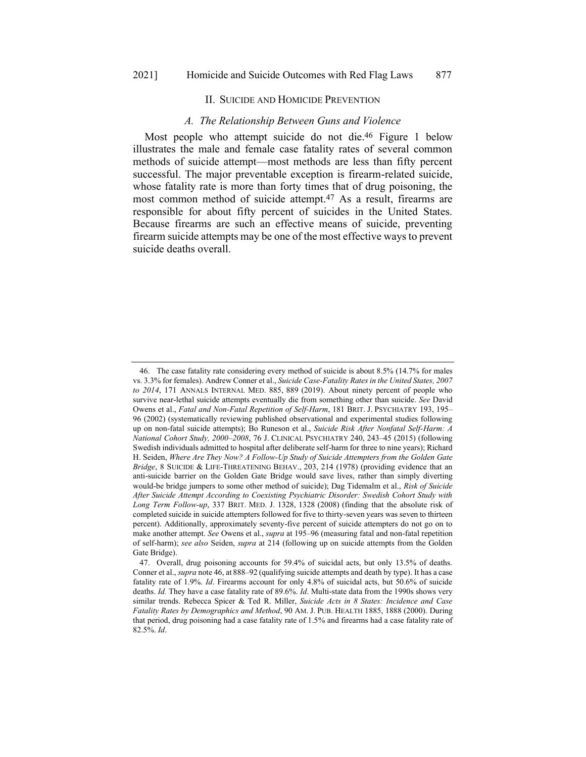## <span id="page-11-0"></span>II. SUICIDE AND HOMICIDE PREVENTION

#### *A. The Relationship Between Guns and Violence*

Most people who attempt suicide do not die.46 Figure 1 below illustrates the male and female case fatality rates of several common methods of suicide attempt—most methods are less than fifty percent successful. The major preventable exception is firearm-related suicide, whose fatality rate is more than forty times that of drug poisoning, the most common method of suicide attempt.47 As a result, firearms are responsible for about fifty percent of suicides in the United States. Because firearms are such an effective means of suicide, preventing firearm suicide attempts may be one of the most effective ways to prevent suicide deaths overall.

<sup>46.</sup> The case fatality rate considering every method of suicide is about 8.5% (14.7% for males vs. 3.3% for females). Andrew Conner et al., *Suicide Case-Fatality Rates in the United States, 2007 to 2014*, 171 ANNALS INTERNAL MED. 885, 889 (2019). About ninety percent of people who survive near-lethal suicide attempts eventually die from something other than suicide. *See* David Owens et al., *Fatal and Non-Fatal Repetition of Self-Harm*, 181 BRIT. J. PSYCHIATRY 193, 195– 96 (2002) (systematically reviewing published observational and experimental studies following up on non-fatal suicide attempts); Bo Runeson et al., *Suicide Risk After Nonfatal Self-Harm: A National Cohort Study, 2000–2008*, 76 J. CLINICAL PSYCHIATRY 240, 243–45 (2015) (following Swedish individuals admitted to hospital after deliberate self-harm for three to nine years); Richard H. Seiden, *Where Are They Now? A Follow-Up Study of Suicide Attempters from the Golden Gate Bridge*, 8 SUICIDE & LIFE-THREATENING BEHAV., 203, 214 (1978) (providing evidence that an anti-suicide barrier on the Golden Gate Bridge would save lives, rather than simply diverting would-be bridge jumpers to some other method of suicide); Dag Tidemalm et al., *Risk of Suicide After Suicide Attempt According to Coexisting Psychiatric Disorder: Swedish Cohort Study with Long Term Follow-up*, 337 BRIT. MED. J. 1328, 1328 (2008) (finding that the absolute risk of completed suicide in suicide attempters followed for five to thirty-seven years was seven to thirteen percent). Additionally, approximately seventy-five percent of suicide attempters do not go on to make another attempt. *See* Owens et al., *supra* at 195–96 (measuring fatal and non-fatal repetition of self-harm); *see also* Seiden, *supra* at 214 (following up on suicide attempts from the Golden Gate Bridge).

<sup>47.</sup> Overall, drug poisoning accounts for 59.4% of suicidal acts, but only 13.5% of deaths. Conner et al., *supra* not[e 46,](#page-11-0) at 888–92 (qualifying suicide attempts and death by type). It has a case fatality rate of 1.9%. *Id*. Firearms account for only 4.8% of suicidal acts, but 50.6% of suicide deaths. *Id.* They have a case fatality rate of 89.6%. *Id*. Multi-state data from the 1990s shows very similar trends. Rebecca Spicer & Ted R. Miller, *Suicide Acts in 8 States: Incidence and Case Fatality Rates by Demographics and Method*, 90 AM. J. PUB. HEALTH 1885, 1888 (2000). During that period, drug poisoning had a case fatality rate of 1.5% and firearms had a case fatality rate of 82.5%. *Id*.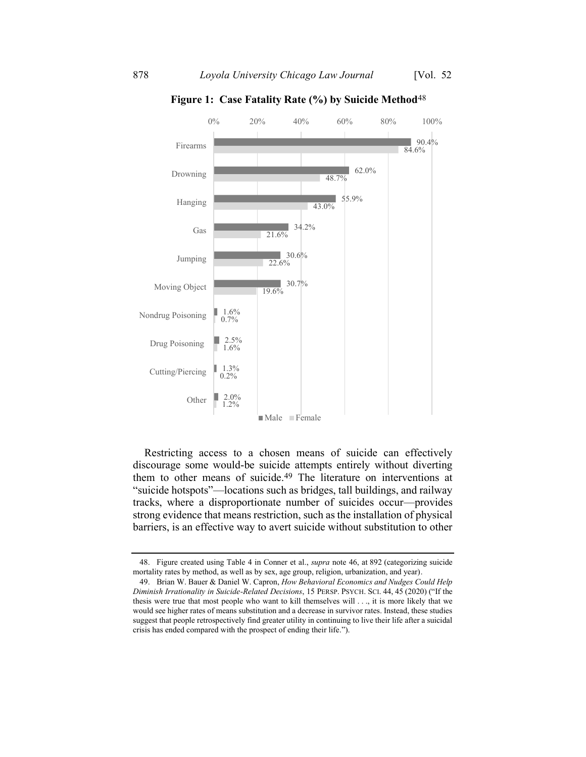

**Figure 1: Case Fatality Rate (%) by Suicide Method**48

Restricting access to a chosen means of suicide can effectively discourage some would-be suicide attempts entirely without diverting them to other means of suicide.49 The literature on interventions at "suicide hotspots"—locations such as bridges, tall buildings, and railway tracks, where a disproportionate number of suicides occur—provides strong evidence that means restriction, such as the installation of physical barriers, is an effective way to avert suicide without substitution to other

<sup>48.</sup> Figure created using Table 4 in Conner et al., *supra* note [46,](#page-11-0) at 892 (categorizing suicide mortality rates by method, as well as by sex, age group, religion, urbanization, and year).

<sup>49.</sup> Brian W. Bauer & Daniel W. Capron, *How Behavioral Economics and Nudges Could Help Diminish Irrationality in Suicide-Related Decisions*, 15 PERSP. PSYCH. SCI. 44, 45 (2020) ("If the thesis were true that most people who want to kill themselves will . . ., it is more likely that we would see higher rates of means substitution and a decrease in survivor rates. Instead, these studies suggest that people retrospectively find greater utility in continuing to live their life after a suicidal crisis has ended compared with the prospect of ending their life.").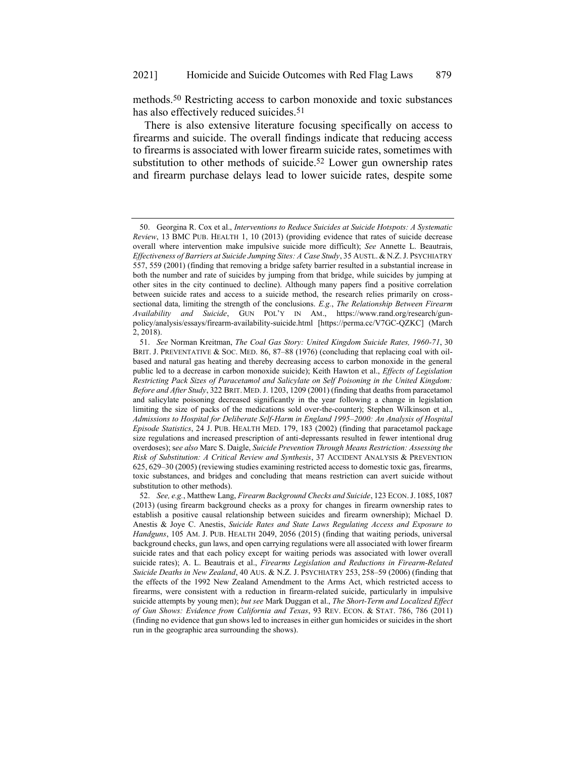methods.50 Restricting access to carbon monoxide and toxic substances has also effectively reduced suicides.<sup>51</sup>

<span id="page-13-0"></span>There is also extensive literature focusing specifically on access to firearms and suicide. The overall findings indicate that reducing access to firearms is associated with lower firearm suicide rates, sometimes with substitution to other methods of suicide.<sup>52</sup> Lower gun ownership rates and firearm purchase delays lead to lower suicide rates, despite some

<sup>50.</sup> Georgina R. Cox et al., *Interventions to Reduce Suicides at Suicide Hotspots: A Systematic Review*, 13 BMC PUB. HEALTH 1, 10 (2013) (providing evidence that rates of suicide decrease overall where intervention make impulsive suicide more difficult); *See* Annette L. Beautrais, *Effectiveness of Barriers at Suicide Jumping Sites: A Case Study*, 35 AUSTL. & N.Z.J. PSYCHIATRY 557, 559 (2001) (finding that removing a bridge safety barrier resulted in a substantial increase in both the number and rate of suicides by jumping from that bridge, while suicides by jumping at other sites in the city continued to decline). Although many papers find a positive correlation between suicide rates and access to a suicide method, the research relies primarily on crosssectional data, limiting the strength of the conclusions. *E.g.*, *The Relationship Between Firearm Availability and Suicide*, GUN POL'Y IN AM., https://www.rand.org/research/gunpolicy/analysis/essays/firearm-availability-suicide.html [https://perma.cc/V7GC-QZKC] (March 2, 2018).

<sup>51.</sup> *See* Norman Kreitman, *The Coal Gas Story: United Kingdom Suicide Rates, 1960-71*, 30 BRIT. J. PREVENTATIVE & SOC. MED. 86, 87–88 (1976) (concluding that replacing coal with oilbased and natural gas heating and thereby decreasing access to carbon monoxide in the general public led to a decrease in carbon monoxide suicide); Keith Hawton et al., *Effects of Legislation Restricting Pack Sizes of Paracetamol and Salicylate on Self Poisoning in the United Kingdom: Before and After Study*, 322 BRIT. MED.J. 1203, 1209 (2001) (finding that deaths from paracetamol and salicylate poisoning decreased significantly in the year following a change in legislation limiting the size of packs of the medications sold over-the-counter); Stephen Wilkinson et al., *Admissions to Hospital for Deliberate Self-Harm in England 1995–2000: An Analysis of Hospital Episode Statistics*, 24 J. PUB. HEALTH MED. 179, 183 (2002) (finding that paracetamol package size regulations and increased prescription of anti-depressants resulted in fewer intentional drug overdoses); s*ee also* Marc S. Daigle, *Suicide Prevention Through Means Restriction: Assessing the Risk of Substitution: A Critical Review and Synthesis*, 37 ACCIDENT ANALYSIS & PREVENTION 625, 629–30 (2005) (reviewing studies examining restricted access to domestic toxic gas, firearms, toxic substances, and bridges and concluding that means restriction can avert suicide without substitution to other methods).

<sup>52.</sup> *See, e.g.*, Matthew Lang, *Firearm Background Checks and Suicide*, 123 ECON.J. 1085, 1087 (2013) (using firearm background checks as a proxy for changes in firearm ownership rates to establish a positive causal relationship between suicides and firearm ownership); Michael D. Anestis & Joye C. Anestis, *Suicide Rates and State Laws Regulating Access and Exposure to Handguns*, 105 AM. J. PUB. HEALTH 2049, 2056 (2015) (finding that waiting periods, universal background checks, gun laws, and open carrying regulations were all associated with lower firearm suicide rates and that each policy except for waiting periods was associated with lower overall suicide rates); A. L. Beautrais et al., *Firearms Legislation and Reductions in Firearm-Related Suicide Deaths in New Zealand*, 40 AUS. & N.Z. J. PSYCHIATRY 253, 258–59 (2006) (finding that the effects of the 1992 New Zealand Amendment to the Arms Act, which restricted access to firearms, were consistent with a reduction in firearm-related suicide, particularly in impulsive suicide attempts by young men); *but see* Mark Duggan et al., *The Short-Term and Localized Effect of Gun Shows: Evidence from California and Texas*, 93 REV. ECON. & STAT. 786, 786 (2011) (finding no evidence that gun shows led to increases in either gun homicides or suicides in the short run in the geographic area surrounding the shows).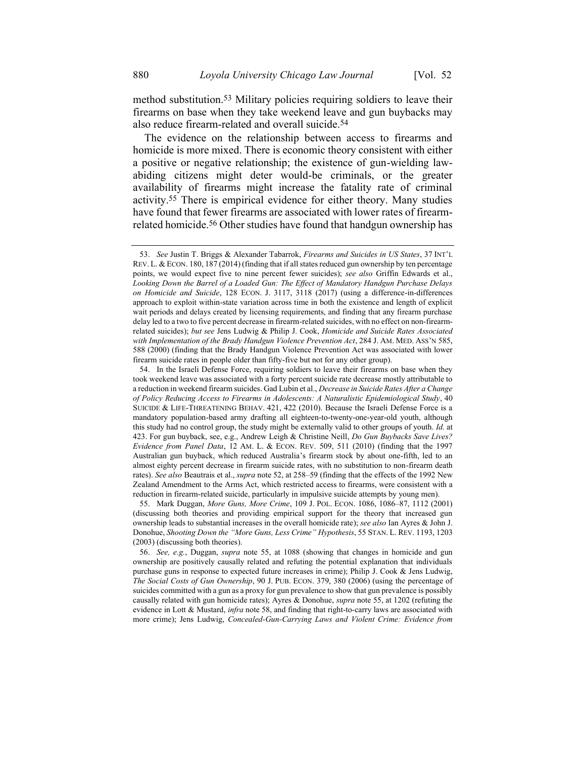<span id="page-14-1"></span>method substitution.53 Military policies requiring soldiers to leave their firearms on base when they take weekend leave and gun buybacks may also reduce firearm-related and overall suicide.54

The evidence on the relationship between access to firearms and homicide is more mixed. There is economic theory consistent with either a positive or negative relationship; the existence of gun-wielding lawabiding citizens might deter would-be criminals, or the greater availability of firearms might increase the fatality rate of criminal activity.55 There is empirical evidence for either theory. Many studies have found that fewer firearms are associated with lower rates of firearmrelated homicide.<sup>56</sup> Other studies have found that handgun ownership has

55. Mark Duggan, *More Guns, More Crime*, 109 J. POL. ECON. 1086, 1086–87, 1112 (2001) (discussing both theories and providing empirical support for the theory that increased gun ownership leads to substantial increases in the overall homicide rate); *see also* Ian Ayres & John J. Donohue, *Shooting Down the "More Guns, Less Crime" Hypothesis*, 55 STAN. L. REV. 1193, 1203 (2003) (discussing both theories).

56. *See, e.g.*, Duggan, *supra* note [55,](#page-14-0) at 1088 (showing that changes in homicide and gun ownership are positively causally related and refuting the potential explanation that individuals purchase guns in response to expected future increases in crime); Philip J. Cook & Jens Ludwig, *The Social Costs of Gun Ownership*, 90 J. PUB. ECON. 379, 380 (2006) (using the percentage of suicides committed with a gun as a proxy for gun prevalence to show that gun prevalence is possibly causally related with gun homicide rates); Ayres & Donohue, *supra* note [55,](#page-14-0) at 1202 (refuting the evidence in Lott & Mustard, *infra* note [58,](#page-15-0) and finding that right-to-carry laws are associated with more crime); Jens Ludwig, *Concealed-Gun-Carrying Laws and Violent Crime: Evidence from* 

<span id="page-14-2"></span><span id="page-14-0"></span><sup>53.</sup> *See* Justin T. Briggs & Alexander Tabarrok, *Firearms and Suicides in US States*, 37 INT'L REV. L. & ECON. 180, 187 (2014) (finding that if all states reduced gun ownership by ten percentage points, we would expect five to nine percent fewer suicides); *see also* Griffin Edwards et al., *Looking Down the Barrel of a Loaded Gun: The Effect of Mandatory Handgun Purchase Delays on Homicide and Suicide*, 128 ECON. J. 3117, 3118 (2017) (using a difference-in-differences approach to exploit within-state variation across time in both the existence and length of explicit wait periods and delays created by licensing requirements, and finding that any firearm purchase delay led to a two to five percent decrease in firearm-related suicides, with no effect on non-firearmrelated suicides); *but see* Jens Ludwig & Philip J. Cook, *Homicide and Suicide Rates Associated*  with Implementation of the Brady Handgun Violence Prevention Act, 284 J. AM. MED. ASS'N 585, 588 (2000) (finding that the Brady Handgun Violence Prevention Act was associated with lower firearm suicide rates in people older than fifty-five but not for any other group).

<sup>54.</sup> In the Israeli Defense Force, requiring soldiers to leave their firearms on base when they took weekend leave was associated with a forty percent suicide rate decrease mostly attributable to a reduction in weekend firearm suicides. Gad Lubin et al., *Decrease in Suicide Rates After a Change of Policy Reducing Access to Firearms in Adolescents: A Naturalistic Epidemiological Study*, 40 SUICIDE & LIFE-THREATENING BEHAV. 421, 422 (2010). Because the Israeli Defense Force is a mandatory population-based army drafting all eighteen-to-twenty-one-year-old youth, although this study had no control group, the study might be externally valid to other groups of youth. *Id.* at 423. For gun buyback, see, e.g., Andrew Leigh & Christine Neill, *Do Gun Buybacks Save Lives? Evidence from Panel Data*, 12 AM. L. & ECON. REV. 509, 511 (2010) (finding that the 1997 Australian gun buyback, which reduced Australia's firearm stock by about one-fifth, led to an almost eighty percent decrease in firearm suicide rates, with no substitution to non-firearm death rates). *See also* Beautrais et al., *supra* note [52,](#page-13-0) at 258–59 (finding that the effects of the 1992 New Zealand Amendment to the Arms Act, which restricted access to firearms, were consistent with a reduction in firearm-related suicide, particularly in impulsive suicide attempts by young men).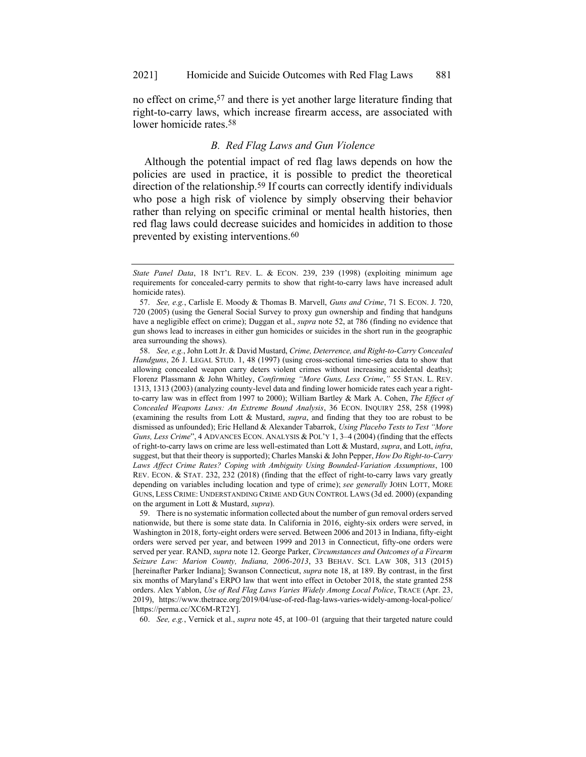no effect on crime,57 and there is yet another large literature finding that right-to-carry laws, which increase firearm access, are associated with lower homicide rates.58

## <span id="page-15-1"></span><span id="page-15-0"></span>*B. Red Flag Laws and Gun Violence*

Although the potential impact of red flag laws depends on how the policies are used in practice, it is possible to predict the theoretical direction of the relationship.59 If courts can correctly identify individuals who pose a high risk of violence by simply observing their behavior rather than relying on specific criminal or mental health histories, then red flag laws could decrease suicides and homicides in addition to those prevented by existing interventions.<sup>60</sup>

60. *See, e.g.*, Vernick et al., *supra* note [45,](#page-10-0) at 100–01 (arguing that their targeted nature could

*State Panel Data*, 18 INT'L REV. L. & ECON. 239, 239 (1998) (exploiting minimum age requirements for concealed-carry permits to show that right-to-carry laws have increased adult homicide rates).

<sup>57.</sup> *See, e.g.*, Carlisle E. Moody & Thomas B. Marvell, *Guns and Crime*, 71 S. ECON. J. 720, 720 (2005) (using the General Social Survey to proxy gun ownership and finding that handguns have a negligible effect on crime); Duggan et al., *supra* note [52,](#page-13-0) at 786 (finding no evidence that gun shows lead to increases in either gun homicides or suicides in the short run in the geographic area surrounding the shows).

<sup>58.</sup> *See, e.g.*, John Lott Jr. & David Mustard, *Crime, Deterrence, and Right-to-Carry Concealed Handguns*, 26 J. LEGAL STUD. 1, 48 (1997) (using cross-sectional time-series data to show that allowing concealed weapon carry deters violent crimes without increasing accidental deaths); Florenz Plassmann & John Whitley, *Confirming "More Guns, Less Crime*,*"* 55 STAN. L. REV. 1313, 1313 (2003) (analyzing county-level data and finding lower homicide rates each year a rightto-carry law was in effect from 1997 to 2000); William Bartley & Mark A. Cohen, *The Effect of Concealed Weapons Laws: An Extreme Bound Analysis*, 36 ECON. INQUIRY 258, 258 (1998) (examining the results from Lott & Mustard, *supra*, and finding that they too are robust to be dismissed as unfounded); Eric Helland & Alexander Tabarrok, *Using Placebo Tests to Test "More Guns, Less Crime*", 4 ADVANCES ECON. ANALYSIS & POL'Y 1, 3–4 (2004) (finding that the effects of right-to-carry laws on crime are less well-estimated than Lott & Mustard, *supra*, and Lott, *infra*, suggest, but that their theory is supported); Charles Manski & John Pepper, *How Do Right-to-Carry Laws Affect Crime Rates? Coping with Ambiguity Using Bounded-Variation Assumptions*, 100 REV. ECON. & STAT. 232, 232 (2018) (finding that the effect of right-to-carry laws vary greatly depending on variables including location and type of crime); *see generally* JOHN LOTT, MORE GUNS, LESS CRIME: UNDERSTANDING CRIME AND GUN CONTROL LAWS (3d ed. 2000) (expanding on the argument in Lott & Mustard, *supra*).

<sup>59.</sup> There is no systematic information collected about the number of gun removal orders served nationwide, but there is some state data. In California in 2016, eighty-six orders were served, in Washington in 2018, forty-eight orders were served. Between 2006 and 2013 in Indiana, fifty-eight orders were served per year, and between 1999 and 2013 in Connecticut, fifty-one orders were served per year. RAND, *supra* note [12.](#page-5-1) George Parker, *Circumstances and Outcomes of a Firearm Seizure Law: Marion County, Indiana, 2006-2013*, 33 BEHAV. SCI. LAW 308, 313 (2015) [hereinafter Parker Indiana]; Swanson Connecticut, *supra* [note 18, at 189.](https://1.next.westlaw.com/Link/Document/FullText?findType=Y&serNum=0458293192&pubNum=0001464&originatingDoc=I9e95db168f4411ea80afece799150095&refType=LR&fi=co_pp_sp_1464_185&originationContext=document&transitionType=DocumentItem&contextData=(sc.Keycite)#co_pp_sp_1464_185) By contrast, in the first six months of Maryland's ERPO law that went into effect in October 2018, the state granted 258 orders. Alex Yablon, *Use of Red Flag Laws Varies Widely Among Local Police*, TRACE (Apr. 23, 2019), https://www.thetrace.org/2019/04/use-of-red-flag-laws-varies-widely-among-local-police/ [https://perma.cc/XC6M-RT2Y].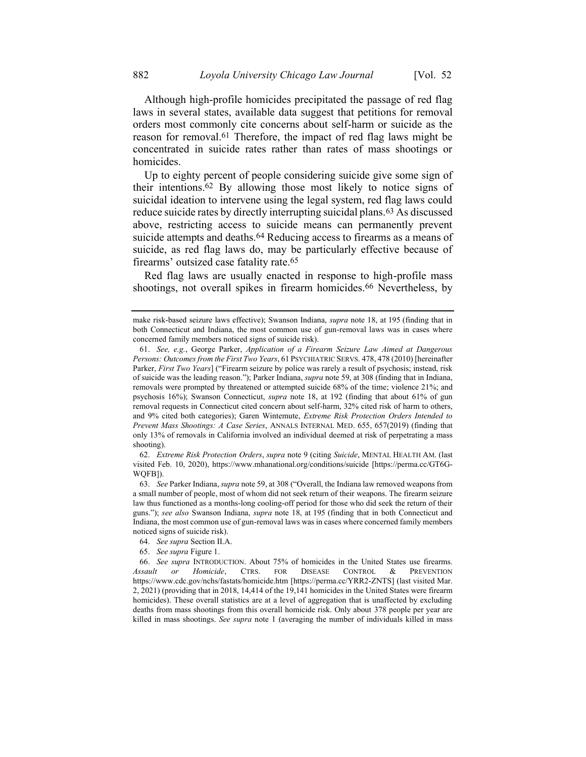<span id="page-16-0"></span>Although high-profile homicides precipitated the passage of red flag laws in several states, available data suggest that petitions for removal orders most commonly cite concerns about self-harm or suicide as the reason for removal.<sup>61</sup> Therefore, the impact of red flag laws might be concentrated in suicide rates rather than rates of mass shootings or homicides.

Up to eighty percent of people considering suicide give some sign of their intentions.62 By allowing those most likely to notice signs of suicidal ideation to intervene using the legal system, red flag laws could reduce suicide rates by directly interrupting suicidal plans.63 As discussed above, restricting access to suicide means can permanently prevent suicide attempts and deaths.<sup>64</sup> Reducing access to firearms as a means of suicide, as red flag laws do, may be particularly effective because of firearms' outsized case fatality rate.65

Red flag laws are usually enacted in response to high-profile mass shootings, not overall spikes in firearm homicides.<sup>66</sup> Nevertheless, by

make risk-based seizure laws effective); Swanson Indiana, *supra* note [18,](#page-5-2) at 195 (finding that in both Connecticut and Indiana, the most common use of gun-removal laws was in cases where concerned family members noticed signs of suicide risk).

<sup>61.</sup> *See, e.g.*, George Parker, *Application of a Firearm Seizure Law Aimed at Dangerous Persons: Outcomes from the First Two Years*, 61 PSYCHIATRIC SERVS. 478, 478 (2010) [hereinafter Parker, *First Two Years*] ("Firearm seizure by police was rarely a result of psychosis; instead, risk of suicide was the leading reason."); Parker Indiana, *supra* not[e 59,](#page-15-1) at 308 (finding that in Indiana, removals were prompted by threatened or attempted suicide 68% of the time; violence 21%; and psychosis 16%); Swanson Connecticut, *supra* [note 18, at 192 \(](https://1.next.westlaw.com/Link/Document/FullText?findType=Y&serNum=0458293192&pubNum=0001464&originatingDoc=I9e95db168f4411ea80afece799150095&refType=LR&fi=co_pp_sp_1464_185&originationContext=document&transitionType=DocumentItem&contextData=(sc.Keycite)#co_pp_sp_1464_185)finding that about 61% of gun removal requests in Connecticut cited concern about self-harm, 32% cited risk of harm to others, and 9% cited both categories); Garen Wintemute, *Extreme Risk Protection Orders Intended to Prevent Mass Shootings: A Case Series*, ANNALS INTERNAL MED. 655, 657(2019) (finding that only 13% of removals in California involved an individual deemed at risk of perpetrating a mass shooting).

<sup>62.</sup> *Extreme Risk Protection Orders*, *supra* note [9](#page-4-0) (citing *Suicide*, MENTAL HEALTH AM. (last visited Feb. 10, 2020), https://www.mhanational.org/conditions/suicide [https://perma.cc/GT6G-WQFB]).

<sup>63.</sup> *See* Parker Indiana, *supra* not[e 59,](#page-15-1) at 308 ("Overall, the Indiana law removed weapons from a small number of people, most of whom did not seek return of their weapons. The firearm seizure law thus functioned as a months-long cooling-off period for those who did seek the return of their guns."); *see also* Swanson Indiana, *supra* note [18,](#page-5-2) at 195 (finding that in both Connecticut and Indiana, the most common use of gun-removal laws was in cases where concerned family members noticed signs of suicide risk).

<sup>64.</sup> *See supra* Section II.A.

<sup>65.</sup> *See supra* Figure 1.

<sup>66.</sup> *See supra* INTRODUCTION. About 75% of homicides in the United States use firearms. *Assault or Homicide*, CTRS. FOR DISEASE CONTROL & PREVENTION https://www.cdc.gov/nchs/fastats/homicide.htm [https://perma.cc/YRR2-ZNTS] (last visited Mar. 2, 2021) (providing that in 2018, 14,414 of the 19,141 homicides in the United States were firearm homicides). These overall statistics are at a level of aggregation that is unaffected by excluding deaths from mass shootings from this overall homicide risk. Only about 378 people per year are killed in mass shootings. *See supra* note [1](#page-2-0) (averaging the number of individuals killed in mass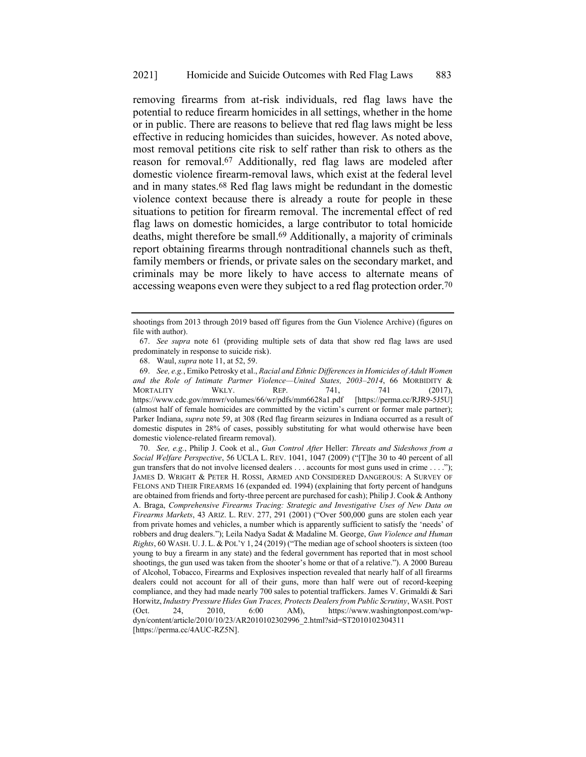removing firearms from at-risk individuals, red flag laws have the potential to reduce firearm homicides in all settings, whether in the home or in public. There are reasons to believe that red flag laws might be less effective in reducing homicides than suicides, however. As noted above, most removal petitions cite risk to self rather than risk to others as the reason for removal.67 Additionally, red flag laws are modeled after domestic violence firearm-removal laws, which exist at the federal level and in many states.68 Red flag laws might be redundant in the domestic violence context because there is already a route for people in these situations to petition for firearm removal. The incremental effect of red flag laws on domestic homicides, a large contributor to total homicide deaths, might therefore be small. 69 Additionally, a majority of criminals report obtaining firearms through nontraditional channels such as theft, family members or friends, or private sales on the secondary market, and criminals may be more likely to have access to alternate means of accessing weapons even were they subject to a red flag protection order.70

<span id="page-17-0"></span>shootings from 2013 through 2019 based off figures from the Gun Violence Archive) (figures on file with author).

<sup>67.</sup> *See supra* note [61](#page-16-0) (providing multiple sets of data that show red flag laws are used predominately in response to suicide risk).

<sup>68.</sup> Waul, *supra* note [11,](#page-4-1) at 52, 59.

<sup>69.</sup> *See, e.g.*, Emiko Petrosky et al., *Racial and Ethnic Differences in Homicides of Adult Women and the Role of Intimate Partner Violence—United States, 2003–2014*, 66 MORBIDITY & MORTALITY WKLY. REP. 741, 741 (2017), https://www.cdc.gov/mmwr/volumes/66/wr/pdfs/mm6628a1.pdf [https://perma.cc/RJR9-5J5U] (almost half of female homicides are committed by the victim's current or former male partner); Parker Indiana, *supra* note [59,](#page-15-1) at 308 (Red flag firearm seizures in Indiana occurred as a result of domestic disputes in 28% of cases, possibly substituting for what would otherwise have been domestic violence-related firearm removal).

<sup>70.</sup> *See, e.g.*, Philip J. Cook et al., *Gun Control After* Heller: *Threats and Sideshows from a Social Welfare Perspective*, 56 UCLA L. REV. 1041, 1047 (2009) ("[T]he 30 to 40 percent of all gun transfers that do not involve licensed dealers . . . accounts for most guns used in crime . . . ."); JAMES D. WRIGHT & PETER H. ROSSI, ARMED AND CONSIDERED DANGEROUS: A SURVEY OF FELONS AND THEIR FIREARMS 16 (expanded ed. 1994) (explaining that forty percent of handguns are obtained from friends and forty-three percent are purchased for cash); Philip J. Cook & Anthony A. Braga, *Comprehensive Firearms Tracing: Strategic and Investigative Uses of New Data on Firearms Markets*, 43 ARIZ. L. REV. 277, 291 (2001) ("Over 500,000 guns are stolen each year from private homes and vehicles, a number which is apparently sufficient to satisfy the 'needs' of robbers and drug dealers."); Leila Nadya Sadat & Madaline M. George, *Gun Violence and Human Rights*, 60 WASH. U.J. L. & POL'Y 1, 24 (2019) ("The median age of school shooters is sixteen (too young to buy a firearm in any state) and the federal government has reported that in most school shootings, the gun used was taken from the shooter's home or that of a relative."). A 2000 Bureau of Alcohol, Tobacco, Firearms and Explosives inspection revealed that nearly half of all firearms dealers could not account for all of their guns, more than half were out of record-keeping compliance, and they had made nearly 700 sales to potential traffickers. James V. Grimaldi & Sari Horwitz, *Industry Pressure Hides Gun Traces, Protects Dealers from Public Scrutiny*, WASH. POST (Oct. 24, 2010, 6:00 AM), https://www.washingtonpost.com/wpdyn/content/article/2010/10/23/AR2010102302996\_2.html?sid=ST2010102304311 [https://perma.cc/4AUC-RZ5N].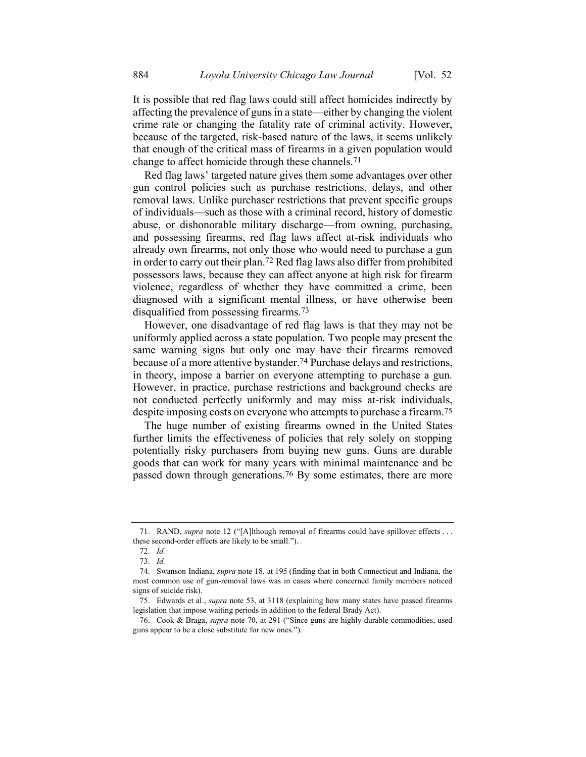It is possible that red flag laws could still affect homicides indirectly by affecting the prevalence of guns in a state—either by changing the violent crime rate or changing the fatality rate of criminal activity. However, because of the targeted, risk-based nature of the laws, it seems unlikely that enough of the critical mass of firearms in a given population would change to affect homicide through these channels.71

Red flag laws' targeted nature gives them some advantages over other gun control policies such as purchase restrictions, delays, and other removal laws. Unlike purchaser restrictions that prevent specific groups of individuals—such as those with a criminal record, history of domestic abuse, or dishonorable military discharge—from owning, purchasing, and possessing firearms, red flag laws affect at-risk individuals who already own firearms, not only those who would need to purchase a gun in order to carry out their plan.72 Red flag laws also differ from prohibited possessors laws, because they can affect anyone at high risk for firearm violence, regardless of whether they have committed a crime, been diagnosed with a significant mental illness, or have otherwise been disqualified from possessing firearms.73

However, one disadvantage of red flag laws is that they may not be uniformly applied across a state population. Two people may present the same warning signs but only one may have their firearms removed because of a more attentive bystander.74 Purchase delays and restrictions, in theory, impose a barrier on everyone attempting to purchase a gun. However, in practice, purchase restrictions and background checks are not conducted perfectly uniformly and may miss at-risk individuals, despite imposing costs on everyone who attempts to purchase a firearm.75

The huge number of existing firearms owned in the United States further limits the effectiveness of policies that rely solely on stopping potentially risky purchasers from buying new guns. Guns are durable goods that can work for many years with minimal maintenance and be passed down through generations.<sup>76</sup> By some estimates, there are more

<sup>71.</sup> RAND, *supra* note [12](#page-5-1) ("[A]lthough removal of firearms could have spillover effects . . . these second-order effects are likely to be small.").

<sup>72.</sup> *Id.*

<sup>73.</sup> *Id.*

<sup>74.</sup> Swanson Indiana, *supra* note [18,](#page-5-2) at 195 (finding that in both Connecticut and Indiana, the most common use of gun-removal laws was in cases where concerned family members noticed signs of suicide risk).

<sup>75.</sup> Edwards et al., *supra* note [53,](#page-14-1) at 3118 (explaining how many states have passed firearms legislation that impose waiting periods in addition to the federal Brady Act).

<sup>76.</sup> Cook & Braga, *supra* note [70,](#page-17-0) at 291 ("Since guns are highly durable commodities, used guns appear to be a close substitute for new ones.").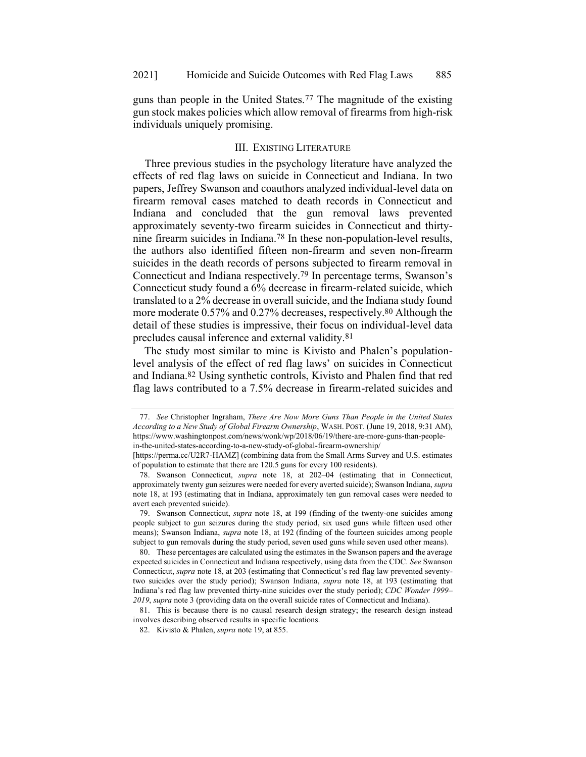guns than people in the United States.77 The magnitude of the existing gun stock makes policies which allow removal of firearms from high-risk individuals uniquely promising.

#### <span id="page-19-0"></span>III. EXISTING LITERATURE

Three previous studies in the psychology literature have analyzed the effects of red flag laws on suicide in Connecticut and Indiana. In two papers, Jeffrey Swanson and coauthors analyzed individual-level data on firearm removal cases matched to death records in Connecticut and Indiana and concluded that the gun removal laws prevented approximately seventy-two firearm suicides in Connecticut and thirtynine firearm suicides in Indiana.78 In these non-population-level results, the authors also identified fifteen non-firearm and seven non-firearm suicides in the death records of persons subjected to firearm removal in Connecticut and Indiana respectively.79 In percentage terms, Swanson's Connecticut study found a 6% decrease in firearm-related suicide, which translated to a 2% decrease in overall suicide, and the Indiana study found more moderate 0.57% and 0.27% decreases, respectively.<sup>80</sup> Although the detail of these studies is impressive, their focus on individual-level data precludes causal inference and external validity.81

The study most similar to mine is Kivisto and Phalen's populationlevel analysis of the effect of red flag laws' on suicides in Connecticut and Indiana.82 Using synthetic controls, Kivisto and Phalen find that red flag laws contributed to a 7.5% decrease in firearm-related suicides and

<sup>77.</sup> *See* Christopher Ingraham, *There Are Now More Guns Than People in the United States According to a New Study of Global Firearm Ownership*, WASH. POST. (June 19, 2018, 9:31 AM), https://www.washingtonpost.com/news/wonk/wp/2018/06/19/there-are-more-guns-than-peoplein-the-united-states-according-to-a-new-study-of-global-firearm-ownership/

<sup>[</sup>https://perma.cc/U2R7-HAMZ] (combining data from the Small Arms Survey and U.S. estimates of population to estimate that there are 120.5 guns for every 100 residents).

<sup>78.</sup> Swanson Connecticut, *supra* [note 18,](https://1.next.westlaw.com/Link/Document/FullText?findType=Y&serNum=0458293192&pubNum=0001464&originatingDoc=I9e95db168f4411ea80afece799150095&refType=LR&fi=co_pp_sp_1464_185&originationContext=document&transitionType=DocumentItem&contextData=(sc.Keycite)#co_pp_sp_1464_185) at 202–04 (estimating that in Connecticut, approximately twenty gun seizures were needed for every averted suicide); Swanson Indiana, *supra* note [18,](#page-5-2) at 193 (estimating that in Indiana, approximately ten gun removal cases were needed to avert each prevented suicide).

<sup>79.</sup> Swanson Connecticut, *supra* [note 18, at 199](https://1.next.westlaw.com/Link/Document/FullText?findType=Y&serNum=0458293192&pubNum=0001464&originatingDoc=I9e95db168f4411ea80afece799150095&refType=LR&fi=co_pp_sp_1464_185&originationContext=document&transitionType=DocumentItem&contextData=(sc.Keycite)#co_pp_sp_1464_185) (finding of the twenty-one suicides among people subject to gun seizures during the study period, six used guns while fifteen used other means); Swanson Indiana, *supra* note [18,](#page-5-2) at 192 (finding of the fourteen suicides among people subject to gun removals during the study period, seven used guns while seven used other means).

<sup>80.</sup> These percentages are calculated using the estimates in the Swanson papers and the average expected suicides in Connecticut and Indiana respectively, using data from the CDC. *See* Swanson Connecticut, *supra* [note 18, at 203](https://1.next.westlaw.com/Link/Document/FullText?findType=Y&serNum=0458293192&pubNum=0001464&originatingDoc=I9e95db168f4411ea80afece799150095&refType=LR&fi=co_pp_sp_1464_185&originationContext=document&transitionType=DocumentItem&contextData=(sc.Keycite)#co_pp_sp_1464_185) (estimating that Connecticut's red flag law prevented seventytwo suicides over the study period); Swanson Indiana, *supra* note [18,](#page-5-2) at 193 (estimating that Indiana's red flag law prevented thirty-nine suicides over the study period); *CDC Wonder 1999– 2019*, *supra* not[e 3](#page-2-1) (providing data on the overall suicide rates of Connecticut and Indiana).

<sup>81.</sup> This is because there is no causal research design strategy; the research design instead involves describing observed results in specific locations.

<sup>82.</sup> Kivisto & Phalen, *supra* not[e 19,](#page-6-0) at 855.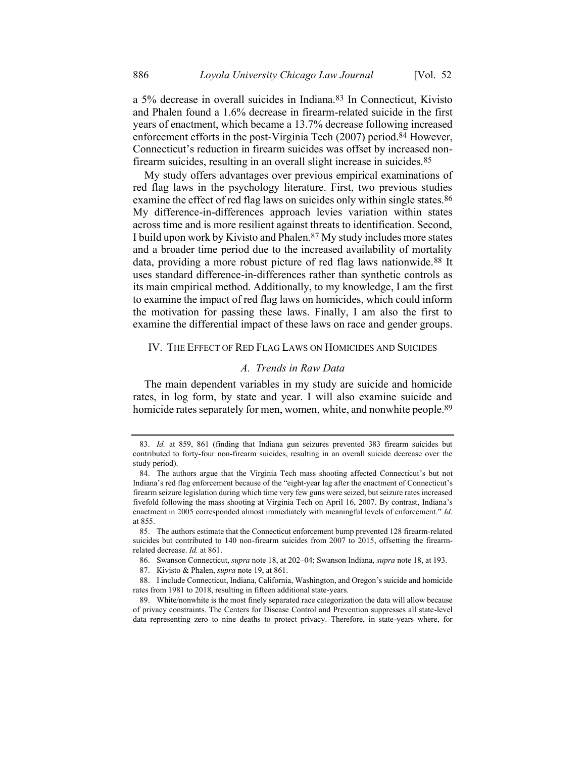a 5% decrease in overall suicides in Indiana.83 In Connecticut, Kivisto and Phalen found a 1.6% decrease in firearm-related suicide in the first years of enactment, which became a 13.7% decrease following increased enforcement efforts in the post-Virginia Tech (2007) period.84 However, Connecticut's reduction in firearm suicides was offset by increased nonfirearm suicides, resulting in an overall slight increase in suicides.85

My study offers advantages over previous empirical examinations of red flag laws in the psychology literature. First, two previous studies examine the effect of red flag laws on suicides only within single states.<sup>86</sup> My difference-in-differences approach levies variation within states across time and is more resilient against threats to identification. Second, I build upon work by Kivisto and Phalen.87 My study includes more states and a broader time period due to the increased availability of mortality data, providing a more robust picture of red flag laws nationwide.88 It uses standard difference-in-differences rather than synthetic controls as its main empirical method. Additionally, to my knowledge, I am the first to examine the impact of red flag laws on homicides, which could inform the motivation for passing these laws. Finally, I am also the first to examine the differential impact of these laws on race and gender groups.

## IV. THE EFFECT OF RED FLAG LAWS ON HOMICIDES AND SUICIDES

## *A. Trends in Raw Data*

The main dependent variables in my study are suicide and homicide rates, in log form, by state and year. I will also examine suicide and homicide rates separately for men, women, white, and nonwhite people.<sup>89</sup>

<sup>83.</sup> *Id.* at 859, 861 (finding that Indiana gun seizures prevented 383 firearm suicides but contributed to forty-four non-firearm suicides, resulting in an overall suicide decrease over the study period).

<sup>84.</sup> The authors argue that the Virginia Tech mass shooting affected Connecticut's but not Indiana's red flag enforcement because of the "eight-year lag after the enactment of Connecticut's firearm seizure legislation during which time very few guns were seized, but seizure rates increased fivefold following the mass shooting at Virginia Tech on April 16, 2007. By contrast, Indiana's enactment in 2005 corresponded almost immediately with meaningful levels of enforcement." *Id*. at 855.

<sup>85.</sup> The authors estimate that the Connecticut enforcement bump prevented 128 firearm-related suicides but contributed to 140 non-firearm suicides from 2007 to 2015, offsetting the firearmrelated decrease. *Id.* at 861.

<sup>86.</sup> Swanson Connecticut, *supra* note [18,](#page-5-2) at 202–04; Swanson Indiana, *supra* note [18,](#page-5-2) at 193.

<sup>87.</sup> Kivisto & Phalen, *supra* not[e 19,](#page-6-0) at 861.

<sup>88.</sup> I include Connecticut, Indiana, California, Washington, and Oregon's suicide and homicide rates from 1981 to 2018, resulting in fifteen additional state-years.

<sup>89.</sup> White/nonwhite is the most finely separated race categorization the data will allow because of privacy constraints. The Centers for Disease Control and Prevention suppresses all state-level data representing zero to nine deaths to protect privacy. Therefore, in state-years where, for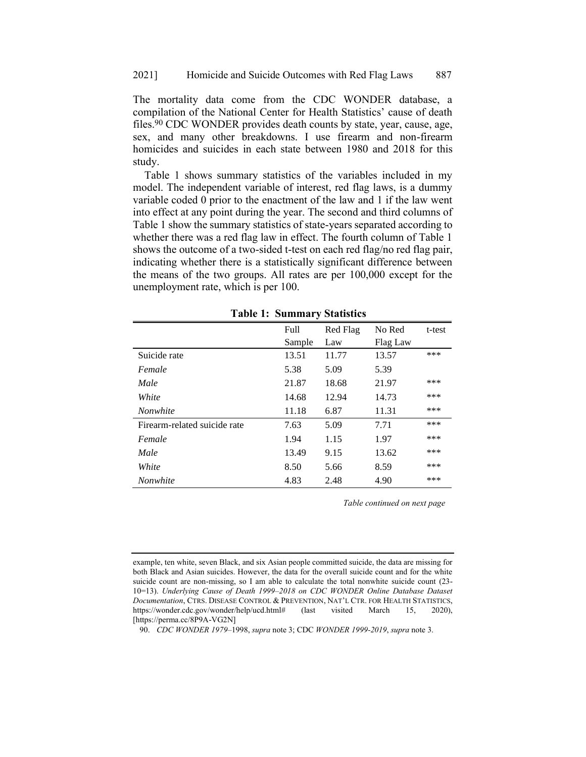The mortality data come from the CDC WONDER database, a compilation of the National Center for Health Statistics' cause of death files.90 CDC WONDER provides death counts by state, year, cause, age, sex, and many other breakdowns. I use firearm and non-firearm homicides and suicides in each state between 1980 and 2018 for this study.

Table 1 shows summary statistics of the variables included in my model. The independent variable of interest, red flag laws, is a dummy variable coded 0 prior to the enactment of the law and 1 if the law went into effect at any point during the year. The second and third columns of Table 1 show the summary statistics of state-years separated according to whether there was a red flag law in effect. The fourth column of Table 1 shows the outcome of a two-sided t-test on each red flag/no red flag pair, indicating whether there is a statistically significant difference between the means of the two groups. All rates are per 100,000 except for the unemployment rate, which is per 100.

|                              | ັ      |          |          |        |
|------------------------------|--------|----------|----------|--------|
|                              | Full   | Red Flag | No Red   | t-test |
|                              | Sample | Law      | Flag Law |        |
| Suicide rate                 | 13.51  | 11.77    | 13.57    | ***    |
| Female                       | 5.38   | 5.09     | 5.39     |        |
| Male                         | 21.87  | 18.68    | 21.97    | ***    |
| White                        | 14.68  | 12.94    | 14.73    | ***    |
| <b>Nonwhite</b>              | 11.18  | 6.87     | 11.31    | ***    |
| Firearm-related suicide rate | 7.63   | 5.09     | 7.71     | ***    |
| Female                       | 1.94   | 1.15     | 1.97     | ***    |
| Male                         | 13.49  | 9.15     | 13.62    | ***    |
| White                        | 8.50   | 5.66     | 8.59     | ***    |
| <i>Nonwhite</i>              | 4.83   | 2.48     | 4.90     | ***    |
|                              |        |          |          |        |

**Table 1: Summary Statistics**

*Table continued on next page*

example, ten white, seven Black, and six Asian people committed suicide, the data are missing for both Black and Asian suicides. However, the data for the overall suicide count and for the white suicide count are non-missing, so I am able to calculate the total nonwhite suicide count (23- 10=13). *Underlying Cause of Death 1999–2018 on CDC WONDER Online Database Dataset Documentation*, CTRS. DISEASE CONTROL & PREVENTION, NAT'L CTR. FOR HEALTH STATISTICS, https://wonder.cdc.gov/wonder/help/ucd.html# (last visited March 15, 2020), [https://perma.cc/8P9A-VG2N]

<sup>90.</sup> *CDC WONDER 1979–*1998, *supra* not[e 3;](#page-2-1) CDC *WONDER 1999-2019*, *supra* not[e 3.](#page-2-1)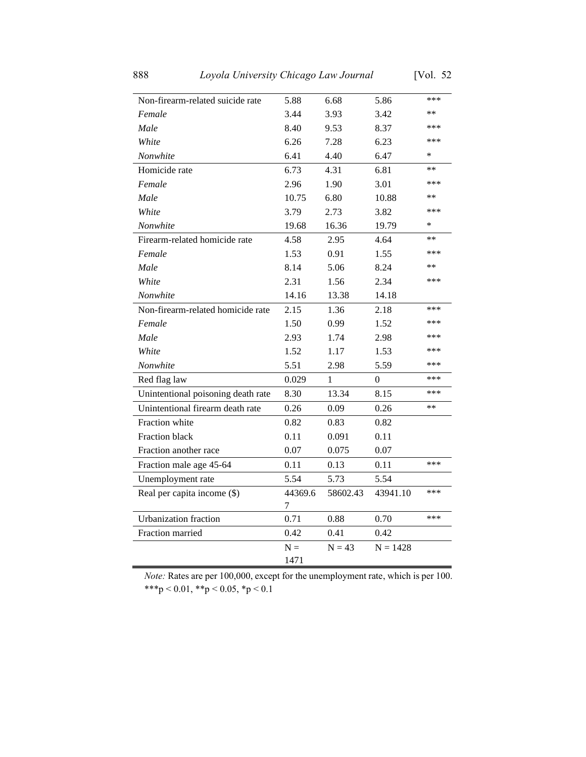| Non-firearm-related suicide rate   | 5.88         | 6.68     | 5.86       | ***    |
|------------------------------------|--------------|----------|------------|--------|
| Female                             | 3.44         | 3.93     | 3.42       | **     |
| Male                               | 8.40         | 9.53     | 8.37       | ***    |
| White                              | 6.26         | 7.28     | 6.23       | ***    |
| Nonwhite                           | 6.41         | 4.40     | 6.47       | ∗      |
| Homicide rate                      | 6.73         | 4.31     | 6.81       | **     |
| Female                             | 2.96         | 1.90     | 3.01       | ***    |
| Male                               | 10.75        | 6.80     | 10.88      | $**$   |
| White                              | 3.79         | 2.73     | 3.82       | ***    |
| Nonwhite                           | 19.68        | 16.36    | 19.79      | $\ast$ |
| Firearm-related homicide rate      | 4.58         | 2.95     | 4.64       | **     |
| Female                             | 1.53         | 0.91     | 1.55       | ***    |
| Male                               | 8.14         | 5.06     | 8.24       | $**$   |
| White                              | 2.31         | 1.56     | 2.34       | ***    |
| Nonwhite                           | 14.16        | 13.38    | 14.18      |        |
| Non-firearm-related homicide rate  | 2.15         | 1.36     | 2.18       | ***    |
| Female                             | 1.50         | 0.99     | 1.52       | ***    |
| Male                               | 2.93         | 1.74     | 2.98       | ***    |
| White                              | 1.52         | 1.17     | 1.53       | ***    |
| Nonwhite                           | 5.51         | 2.98     | 5.59       | ***    |
| Red flag law                       | 0.029        | 1        | 0          | ***    |
| Unintentional poisoning death rate | 8.30         | 13.34    | 8.15       | ***    |
| Unintentional firearm death rate   | 0.26         | 0.09     | 0.26       | **     |
| Fraction white                     | 0.82         | 0.83     | 0.82       |        |
| <b>Fraction black</b>              | 0.11         | 0.091    | 0.11       |        |
| Fraction another race              | 0.07         | 0.075    | 0.07       |        |
| Fraction male age 45-64            | 0.11         | 0.13     | 0.11       | ***    |
| Unemployment rate                  | 5.54         | 5.73     | 5.54       |        |
| Real per capita income (\$)        | 44369.6<br>7 | 58602.43 | 43941.10   | ***    |
| Urbanization fraction              | 0.71         | 0.88     | 0.70       | ***    |
| Fraction married                   | 0.42         | 0.41     | 0.42       |        |
|                                    | $N =$        | $N = 43$ | $N = 1428$ |        |
|                                    | 1471         |          |            |        |

*Note:* Rates are per 100,000, except for the unemployment rate, which is per 100. \*\*\*p < 0.01, \*\*p < 0.05, \*p < 0.1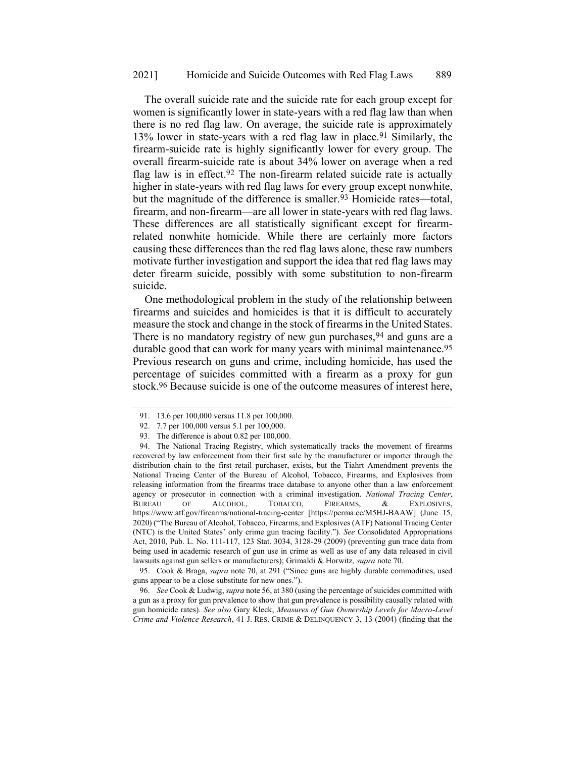The overall suicide rate and the suicide rate for each group except for women is significantly lower in state-years with a red flag law than when there is no red flag law. On average, the suicide rate is approximately 13% lower in state-years with a red flag law in place.91 Similarly, the firearm-suicide rate is highly significantly lower for every group. The overall firearm-suicide rate is about 34% lower on average when a red flag law is in effect.<sup>92</sup> The non-firearm related suicide rate is actually higher in state-years with red flag laws for every group except nonwhite, but the magnitude of the difference is smaller.<sup>93</sup> Homicide rates—total, firearm, and non-firearm—are all lower in state-years with red flag laws. These differences are all statistically significant except for firearmrelated nonwhite homicide. While there are certainly more factors causing these differences than the red flag laws alone, these raw numbers motivate further investigation and support the idea that red flag laws may deter firearm suicide, possibly with some substitution to non-firearm suicide.

One methodological problem in the study of the relationship between firearms and suicides and homicides is that it is difficult to accurately measure the stock and change in the stock of firearms in the United States. There is no mandatory registry of new gun purchases, <sup>94</sup> and guns are a durable good that can work for many years with minimal maintenance.<sup>95</sup> Previous research on guns and crime, including homicide, has used the percentage of suicides committed with a firearm as a proxy for gun stock.96 Because suicide is one of the outcome measures of interest here,

<sup>91.</sup> 13.6 per 100,000 versus 11.8 per 100,000.

<sup>92.</sup> 7.7 per 100,000 versus 5.1 per 100,000.

<sup>93.</sup> The difference is about 0.82 per 100,000.

<sup>94.</sup> The National Tracing Registry, which systematically tracks the movement of firearms recovered by law enforcement from their first sale by the manufacturer or importer through the distribution chain to the first retail purchaser, exists, but the Tiahrt Amendment prevents the National Tracing Center of the Bureau of Alcohol, Tobacco, Firearms, and Explosives from releasing information from the firearms trace database to anyone other than a law enforcement agency or prosecutor in connection with a criminal investigation. *National Tracing Center*, BUREAU OF ALCOHOL, TOBACCO, FIREARMS, & EXPLOSIVES, https://www.atf.gov/firearms/national-tracing-center [https://perma.cc/M5HJ-BAAW] (June 15, 2020) ("The Bureau of Alcohol, Tobacco, Firearms, and Explosives (ATF) National Tracing Center (NTC) is the United States' only crime gun tracing facility."). *See* Consolidated Appropriations Act, 2010, Pub. L. No. 111-117, 123 Stat. 3034, 3128-29 (2009) (preventing gun trace data from being used in academic research of gun use in crime as well as use of any data released in civil lawsuits against gun sellers or manufacturers); Grimaldi & Horwitz, *supra* note [70.](#page-17-0)

<sup>95.</sup> Cook & Braga, *supra* note [70,](#page-17-0) at 291 ("Since guns are highly durable commodities, used guns appear to be a close substitute for new ones.").

<sup>96.</sup> *See* Cook & Ludwig, *supra* not[e 56,](#page-14-2) at 380 (using the percentage of suicides committed with a gun as a proxy for gun prevalence to show that gun prevalence is possibility causally related with gun homicide rates). *See also* Gary Kleck, *Measures of Gun Ownership Levels for Macro-Level Crime and Violence Research*, 41 J. RES. CRIME & DELINQUENCY 3, 13 (2004) (finding that the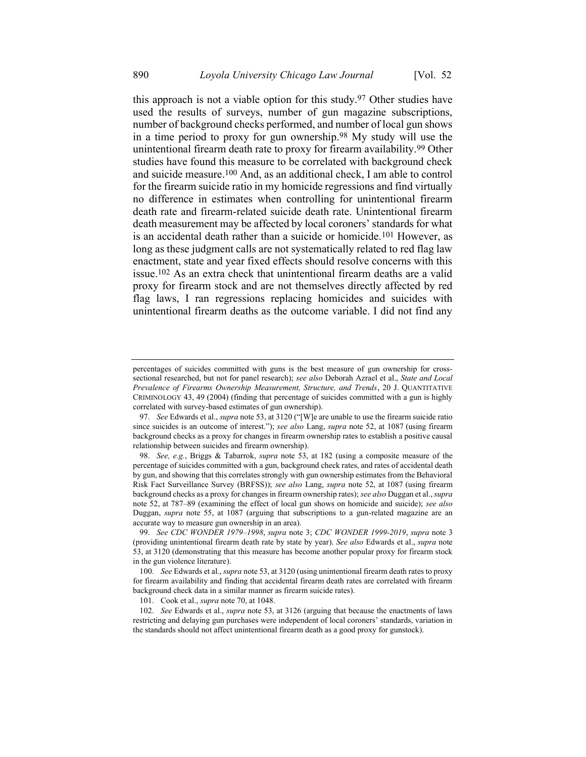this approach is not a viable option for this study.97 Other studies have used the results of surveys, number of gun magazine subscriptions, number of background checks performed, and number of local gun shows in a time period to proxy for gun ownership.98 My study will use the unintentional firearm death rate to proxy for firearm availability.99 Other studies have found this measure to be correlated with background check and suicide measure. 100 And, as an additional check, I am able to control for the firearm suicide ratio in my homicide regressions and find virtually no difference in estimates when controlling for unintentional firearm death rate and firearm-related suicide death rate. Unintentional firearm death measurement may be affected by local coroners' standards for what is an accidental death rather than a suicide or homicide.101 However, as long as these judgment calls are not systematically related to red flag law enactment, state and year fixed effects should resolve concerns with this issue.102 As an extra check that unintentional firearm deaths are a valid proxy for firearm stock and are not themselves directly affected by red flag laws, I ran regressions replacing homicides and suicides with unintentional firearm deaths as the outcome variable. I did not find any

101. Cook et al., *supra* not[e 70,](#page-17-0) at 1048.

percentages of suicides committed with guns is the best measure of gun ownership for crosssectional researched, but not for panel research); *see also* Deborah Azrael et al., *State and Local Prevalence of Firearms Ownership Measurement, Structure, and Trends*, 20 J. QUANTITATIVE CRIMINOLOGY 43, 49 (2004) (finding that percentage of suicides committed with a gun is highly correlated with survey-based estimates of gun ownership).

<sup>97.</sup> *See* Edwards et al., *supra* not[e 53,](#page-14-1) at 3120 ("[W]e are unable to use the firearm suicide ratio since suicides is an outcome of interest."); *see also* Lang, *supra* note [52,](#page-13-0) at 1087 (using firearm background checks as a proxy for changes in firearm ownership rates to establish a positive causal relationship between suicides and firearm ownership).

<sup>98.</sup> *See, e.g.*, Briggs & Tabarrok, *supra* note [53,](#page-14-1) at 182 (using a composite measure of the percentage of suicides committed with a gun, background check rates, and rates of accidental death by gun, and showing that this correlates strongly with gun ownership estimates from the Behavioral Risk Fact Surveillance Survey (BRFSS)); *see also* Lang, *supra* note [52,](#page-13-0) at 1087 (using firearm background checks as a proxy for changes in firearm ownership rates); *see also* Duggan et al., *supra* note [52,](#page-13-0) at 787–89 (examining the effect of local gun shows on homicide and suicide); *see also* Duggan, *supra* note [55,](#page-14-0) at 1087 (arguing that subscriptions to a gun-related magazine are an accurate way to measure gun ownership in an area).

<sup>99.</sup> *See CDC WONDER 1979–1998*, *supra* note [3;](#page-2-1) *CDC WONDER 1999-2019*, *supra* not[e 3](#page-2-1) (providing unintentional firearm death rate by state by year). *See also* Edwards et al., *supra* note [53,](#page-14-1) at 3120 (demonstrating that this measure has become another popular proxy for firearm stock in the gun violence literature).

<sup>100.</sup> *See* Edwards et al., *supra* not[e 53,](#page-14-1) at 3120 (using unintentional firearm death rates to proxy for firearm availability and finding that accidental firearm death rates are correlated with firearm background check data in a similar manner as firearm suicide rates).

<sup>102.</sup> *See* Edwards et al., *supra* note [53,](#page-14-1) at 3126 (arguing that because the enactments of laws restricting and delaying gun purchases were independent of local coroners' standards, variation in the standards should not affect unintentional firearm death as a good proxy for gunstock).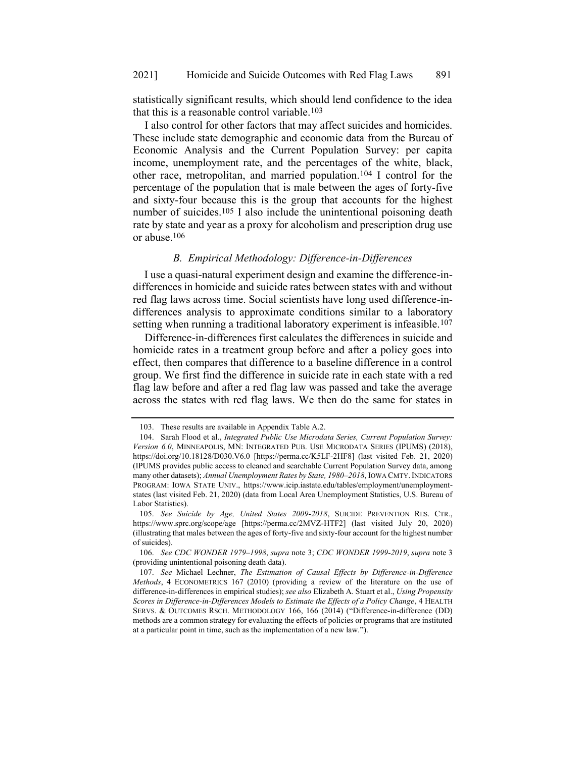statistically significant results, which should lend confidence to the idea that this is a reasonable control variable.103

I also control for other factors that may affect suicides and homicides. These include state demographic and economic data from the Bureau of Economic Analysis and the Current Population Survey: per capita income, unemployment rate, and the percentages of the white, black, other race, metropolitan, and married population.104 I control for the percentage of the population that is male between the ages of forty-five and sixty-four because this is the group that accounts for the highest number of suicides.<sup>105</sup> I also include the unintentional poisoning death rate by state and year as a proxy for alcoholism and prescription drug use or abuse.106

# *B. Empirical Methodology: Difference-in-Differences*

I use a quasi-natural experiment design and examine the difference-indifferences in homicide and suicide rates between states with and without red flag laws across time. Social scientists have long used difference-indifferences analysis to approximate conditions similar to a laboratory setting when running a traditional laboratory experiment is infeasible.<sup>107</sup>

Difference-in-differences first calculates the differences in suicide and homicide rates in a treatment group before and after a policy goes into effect, then compares that difference to a baseline difference in a control group. We first find the difference in suicide rate in each state with a red flag law before and after a red flag law was passed and take the average across the states with red flag laws. We then do the same for states in

<sup>103.</sup> These results are available in Appendix Table A.2.

<sup>104.</sup> Sarah Flood et al., *Integrated Public Use Microdata Series, Current Population Survey: Version 6.0*, MINNEAPOLIS, MN: INTEGRATED PUB. USE MICRODATA SERIES (IPUMS) (2018), https://doi.org/10.18128/D030.V6.0 [https://perma.cc/K5LF-2HF8] (last visited Feb. 21, 2020) (IPUMS provides public access to cleaned and searchable Current Population Survey data, among many other datasets); *Annual Unemployment Rates by State, 1980–2018*, IOWA CMTY.INDICATORS PROGRAM: IOWA STATE UNIV., https://www.icip.iastate.edu/tables/employment/unemploymentstates (last visited Feb. 21, 2020) (data from Local Area Unemployment Statistics, U.S. Bureau of Labor Statistics).

<sup>105.</sup> *See Suicide by Age, United States 2009-2018*, SUICIDE PREVENTION RES. CTR., https://www.sprc.org/scope/age [https://perma.cc/2MVZ-HTF2] (last visited July 20, 2020) (illustrating that males between the ages of forty-five and sixty-four account for the highest number of suicides).

<sup>106.</sup> *See CDC WONDER 1979–1998*, *supra* not[e 3;](#page-2-1) *CDC WONDER 1999-2019*, *supra* not[e 3](#page-2-1) (providing unintentional poisoning death data).

<sup>107.</sup> *See* Michael Lechner, *The Estimation of Causal Effects by Difference-in-Difference Methods*, 4 ECONOMETRICS 167 (2010) (providing a review of the literature on the use of difference-in-differences in empirical studies); *see also* Elizabeth A. Stuart et al., *Using Propensity Scores in Difference-in-Differences Models to Estimate the Effects of a Policy Change*, 4 HEALTH SERVS. & OUTCOMES RSCH. METHODOLOGY 166, 166 (2014) ("Difference-in-difference (DD) methods are a common strategy for evaluating the effects of policies or programs that are instituted at a particular point in time, such as the implementation of a new law.").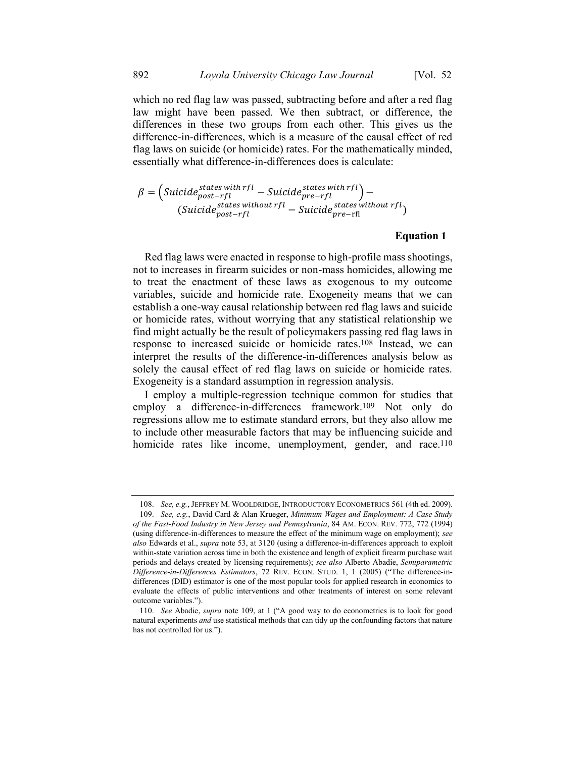which no red flag law was passed, subtracting before and after a red flag law might have been passed. We then subtract, or difference, the differences in these two groups from each other. This gives us the difference-in-differences, which is a measure of the causal effect of red flag laws on suicide (or homicide) rates. For the mathematically minded, essentially what difference-in-differences does is calculate:

$$
\beta = \left(\text{Suicide}_{\text{post-rfl}}^{\text{states with rfl}} - \text{Suicide}_{\text{pre-rfl}}^{\text{states with rfl}}\right) - \left(\text{Suicide}_{\text{post-rfl}}^{\text{states without rfl}} - \text{Suicide}_{\text{pre-rfl}}^{\text{states without rfl}}\right)
$$

# <span id="page-26-0"></span>**Equation 1**

Red flag laws were enacted in response to high-profile mass shootings, not to increases in firearm suicides or non-mass homicides, allowing me to treat the enactment of these laws as exogenous to my outcome variables, suicide and homicide rate. Exogeneity means that we can establish a one-way causal relationship between red flag laws and suicide or homicide rates, without worrying that any statistical relationship we find might actually be the result of policymakers passing red flag laws in response to increased suicide or homicide rates. 108 Instead, we can interpret the results of the difference-in-differences analysis below as solely the causal effect of red flag laws on suicide or homicide rates. Exogeneity is a standard assumption in regression analysis.

I employ a multiple-regression technique common for studies that employ a difference-in-differences framework.109 Not only do regressions allow me to estimate standard errors, but they also allow me to include other measurable factors that may be influencing suicide and homicide rates like income, unemployment, gender, and race.<sup>110</sup>

<sup>108.</sup> *See, e.g.*, JEFFREY M. WOOLDRIDGE, INTRODUCTORY ECONOMETRICS 561 (4th ed. 2009).

<sup>109.</sup> *See, e.g.*, David Card & Alan Krueger, *Minimum Wages and Employment: A Case Study of the Fast-Food Industry in New Jersey and Pennsylvania*, 84 AM. ECON. REV. 772, 772 (1994) (using difference-in-differences to measure the effect of the minimum wage on employment); *see also* Edwards et al., *supra* note [53,](#page-14-1) at 3120 (using a difference-in-differences approach to exploit within-state variation across time in both the existence and length of explicit firearm purchase wait periods and delays created by licensing requirements); *see also* Alberto Abadie, *Semiparametric Difference-in-Differences Estimators*, 72 REV. ECON. STUD. 1, 1 (2005) ("The difference-indifferences (DID) estimator is one of the most popular tools for applied research in economics to evaluate the effects of public interventions and other treatments of interest on some relevant outcome variables.").

<sup>110.</sup> *See* Abadie, *supra* note [109,](#page-26-0) at 1 ("A good way to do econometrics is to look for good natural experiments *and* use statistical methods that can tidy up the confounding factors that nature has not controlled for us.").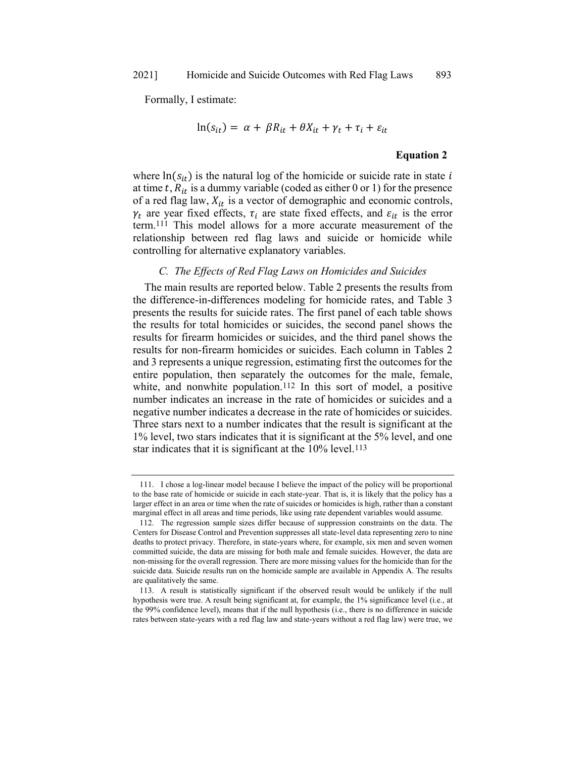Formally, I estimate:

$$
\ln(s_{it}) = \alpha + \beta R_{it} + \theta X_{it} + \gamma_t + \tau_i + \varepsilon_{it}
$$

#### **Equation 2**

where  $ln(s_{it})$  is the natural log of the homicide or suicide rate in state i at time t,  $R_{it}$  is a dummy variable (coded as either 0 or 1) for the presence of a red flag law,  $X_{it}$  is a vector of demographic and economic controls,  $\gamma_t$  are year fixed effects,  $\tau_i$  are state fixed effects, and  $\varepsilon_{it}$  is the error term.111 This model allows for a more accurate measurement of the relationship between red flag laws and suicide or homicide while controlling for alternative explanatory variables.

#### *C. The Effects of Red Flag Laws on Homicides and Suicides*

The main results are reported below. Table 2 presents the results from the difference-in-differences modeling for homicide rates, and Table 3 presents the results for suicide rates. The first panel of each table shows the results for total homicides or suicides, the second panel shows the results for firearm homicides or suicides, and the third panel shows the results for non-firearm homicides or suicides. Each column in Tables 2 and 3 represents a unique regression, estimating first the outcomes for the entire population, then separately the outcomes for the male, female, white, and nonwhite population.<sup>112</sup> In this sort of model, a positive number indicates an increase in the rate of homicides or suicides and a negative number indicates a decrease in the rate of homicides or suicides. Three stars next to a number indicates that the result is significant at the 1% level, two stars indicates that it is significant at the 5% level, and one star indicates that it is significant at the 10% level.<sup>113</sup>

<sup>111.</sup> I chose a log-linear model because I believe the impact of the policy will be proportional to the base rate of homicide or suicide in each state-year. That is, it is likely that the policy has a larger effect in an area or time when the rate of suicides or homicides is high, rather than a constant marginal effect in all areas and time periods, like using rate dependent variables would assume.

<sup>112.</sup> The regression sample sizes differ because of suppression constraints on the data. The Centers for Disease Control and Prevention suppresses all state-level data representing zero to nine deaths to protect privacy. Therefore, in state-years where, for example, six men and seven women committed suicide, the data are missing for both male and female suicides. However, the data are non-missing for the overall regression. There are more missing values for the homicide than for the suicide data. Suicide results run on the homicide sample are available in Appendix A. The results are qualitatively the same.

<sup>113.</sup> A result is statistically significant if the observed result would be unlikely if the null hypothesis were true. A result being significant at, for example, the 1% significance level (i.e., at the 99% confidence level), means that if the null hypothesis (i.e., there is no difference in suicide rates between state-years with a red flag law and state-years without a red flag law) were true, we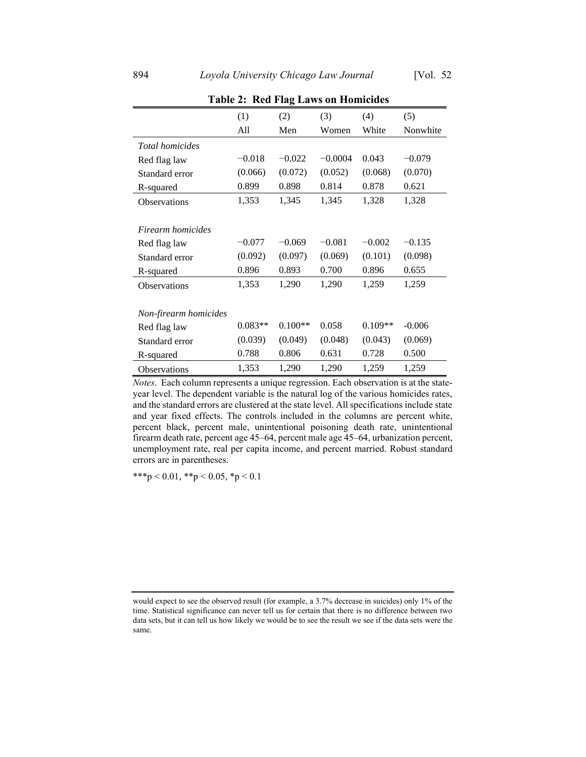|                        |           | o         |           |           |          |
|------------------------|-----------|-----------|-----------|-----------|----------|
|                        | (1)       | (2)       | (3)       | (4)       | (5)      |
|                        | All       | Men       | Women     | White     | Nonwhite |
| <i>Total homicides</i> |           |           |           |           |          |
| Red flag law           | $-0.018$  | $-0.022$  | $-0.0004$ | 0.043     | $-0.079$ |
| Standard error         | (0.066)   | (0.072)   | (0.052)   | (0.068)   | (0.070)  |
| R-squared              | 0.899     | 0.898     | 0.814     | 0.878     | 0.621    |
| <b>Observations</b>    | 1,353     | 1,345     | 1,345     | 1,328     | 1,328    |
|                        |           |           |           |           |          |
| Firearm homicides      |           |           |           |           |          |
| Red flag law           | $-0.077$  | $-0.069$  | $-0.081$  | $-0.002$  | $-0.135$ |
| Standard error         | (0.092)   | (0.097)   | (0.069)   | (0.101)   | (0.098)  |
| R-squared              | 0.896     | 0.893     | 0.700     | 0.896     | 0.655    |
| <b>Observations</b>    | 1,353     | 1,290     | 1,290     | 1,259     | 1,259    |
|                        |           |           |           |           |          |
| Non-firearm homicides  |           |           |           |           |          |
| Red flag law           | $0.083**$ | $0.100**$ | 0.058     | $0.109**$ | $-0.006$ |
| Standard error         | (0.039)   | (0.049)   | (0.048)   | (0.043)   | (0.069)  |
| R-squared              | 0.788     | 0.806     | 0.631     | 0.728     | 0.500    |
| Observations           | 1,353     | 1,290     | 1,290     | 1,259     | 1,259    |

**Table 2: Red Flag Laws on Homicides**

*Notes*. Each column represents a unique regression. Each observation is at the stateyear level. The dependent variable is the natural log of the various homicides rates, and the standard errors are clustered at the state level. All specifications include state and year fixed effects. The controls included in the columns are percent white, percent black, percent male, unintentional poisoning death rate, unintentional firearm death rate, percent age 45–64, percent male age 45–64, urbanization percent, unemployment rate, real per capita income, and percent married. Robust standard errors are in parentheses.

\*\*\*p < 0.01, \*\*p < 0.05, \*p < 0.1

would expect to see the observed result (for example, a 3.7% decrease in suicides) only 1% of the time. Statistical significance can never tell us for certain that there is no difference between two data sets, but it can tell us how likely we would be to see the result we see if the data sets were the same.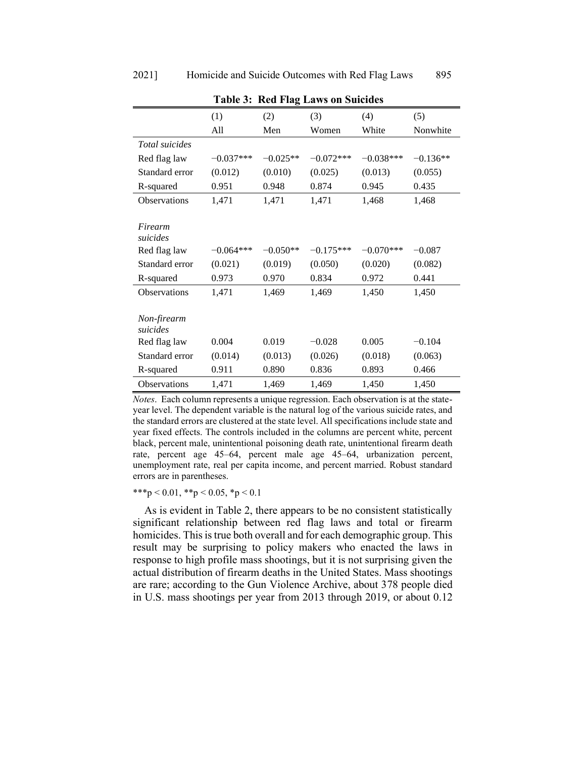|                         | (1)         | (2)        | (3)         | (4)         | (5)        |
|-------------------------|-------------|------------|-------------|-------------|------------|
|                         | All         | Men        | Women       | White       | Nonwhite   |
| Total suicides          |             |            |             |             |            |
| Red flag law            | $-0.037***$ | $-0.025**$ | $-0.072***$ | $-0.038***$ | $-0.136**$ |
| Standard error          | (0.012)     | (0.010)    | (0.025)     | (0.013)     | (0.055)    |
| R-squared               | 0.951       | 0.948      | 0.874       | 0.945       | 0.435      |
| Observations            | 1,471       | 1,471      | 1,471       | 1,468       | 1,468      |
|                         |             |            |             |             |            |
| Firearm<br>suicides     |             |            |             |             |            |
| Red flag law            | $-0.064***$ | $-0.050**$ | $-0.175***$ | $-0.070***$ | $-0.087$   |
| Standard error          | (0.021)     | (0.019)    | (0.050)     | (0.020)     | (0.082)    |
| R-squared               | 0.973       | 0.970      | 0.834       | 0.972       | 0.441      |
| <b>Observations</b>     | 1,471       | 1,469      | 1,469       | 1,450       | 1,450      |
|                         |             |            |             |             |            |
| Non-firearm<br>suicides |             |            |             |             |            |
| Red flag law            | 0.004       | 0.019      | $-0.028$    | 0.005       | $-0.104$   |
| Standard error          | (0.014)     | (0.013)    | (0.026)     | (0.018)     | (0.063)    |
| R-squared               | 0.911       | 0.890      | 0.836       | 0.893       | 0.466      |
| <b>Observations</b>     | 1,471       | 1,469      | 1,469       | 1,450       | 1,450      |

**Table 3: Red Flag Laws on Suicides**

*Notes*. Each column represents a unique regression. Each observation is at the stateyear level. The dependent variable is the natural log of the various suicide rates, and the standard errors are clustered at the state level. All specifications include state and year fixed effects. The controls included in the columns are percent white, percent black, percent male, unintentional poisoning death rate, unintentional firearm death rate, percent age 45–64, percent male age 45–64, urbanization percent, unemployment rate, real per capita income, and percent married. Robust standard errors are in parentheses.

\*\*\*p < 0.01, \*\*p < 0.05, \*p < 0.1

As is evident in Table 2, there appears to be no consistent statistically significant relationship between red flag laws and total or firearm homicides. This is true both overall and for each demographic group. This result may be surprising to policy makers who enacted the laws in response to high profile mass shootings, but it is not surprising given the actual distribution of firearm deaths in the United States. Mass shootings are rare; according to the Gun Violence Archive, about 378 people died in U.S. mass shootings per year from 2013 through 2019, or about 0.12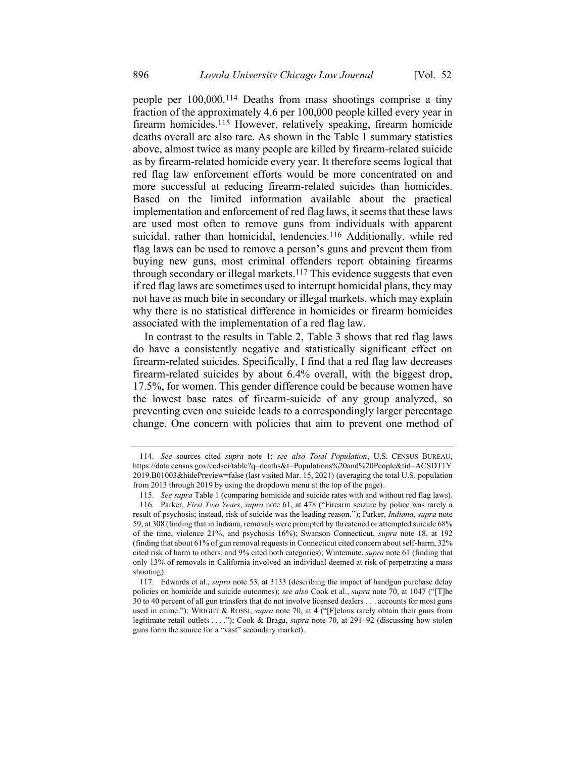people per 100,000.114 Deaths from mass shootings comprise a tiny fraction of the approximately 4.6 per 100,000 people killed every year in firearm homicides.115 However, relatively speaking, firearm homicide deaths overall are also rare. As shown in the Table 1 summary statistics above, almost twice as many people are killed by firearm-related suicide as by firearm-related homicide every year. It therefore seems logical that red flag law enforcement efforts would be more concentrated on and more successful at reducing firearm-related suicides than homicides. Based on the limited information available about the practical implementation and enforcement of red flag laws, it seems that these laws are used most often to remove guns from individuals with apparent suicidal, rather than homicidal, tendencies. 116 Additionally, while red flag laws can be used to remove a person's guns and prevent them from buying new guns, most criminal offenders report obtaining firearms through secondary or illegal markets.117 This evidence suggests that even if red flag laws are sometimes used to interrupt homicidal plans, they may not have as much bite in secondary or illegal markets, which may explain why there is no statistical difference in homicides or firearm homicides associated with the implementation of a red flag law.

In contrast to the results in Table 2, Table 3 shows that red flag laws do have a consistently negative and statistically significant effect on firearm-related suicides. Specifically, I find that a red flag law decreases firearm-related suicides by about 6.4% overall, with the biggest drop, 17.5%, for women. This gender difference could be because women have the lowest base rates of firearm-suicide of any group analyzed, so preventing even one suicide leads to a correspondingly larger percentage change. One concern with policies that aim to prevent one method of

<sup>114.</sup> *See* sources cited *supra* note [1;](#page-2-0) *see also Total Population*, U.S. CENSUS BUREAU, https://data.census.gov/cedsci/table?q=deaths&t=Populations%20and%20People&tid=ACSDT1Y 2019.B01003&hidePreview=false (last visited Mar. 15, 2021) (averaging the total U.S. population from 2013 through 2019 by using the dropdown menu at the top of the page).

<sup>115.</sup> *See supra* Table 1 (comparing homicide and suicide rates with and without red flag laws).

<sup>116.</sup> Parker, *First Two Years*, *supra* note [61,](#page-16-0) at 478 ("Firearm seizure by police was rarely a result of psychosis; instead, risk of suicide was the leading reason."); Parker, *Indiana*, *supra* note [59,](#page-15-1) at 308 (finding that in Indiana, removals were prompted by threatened or attempted suicide 68% of the time, violence 21%, and psychosis 16%); Swanson Connecticut, *supra* [note 18,](https://1.next.westlaw.com/Link/Document/FullText?findType=Y&serNum=0458293192&pubNum=0001464&originatingDoc=I9e95db168f4411ea80afece799150095&refType=LR&fi=co_pp_sp_1464_185&originationContext=document&transitionType=DocumentItem&contextData=(sc.Keycite)#co_pp_sp_1464_185) at 192 (finding that about 61% of gun removal requests in Connecticut cited concern about self-harm, 32% cited risk of harm to others, and 9% cited both categories); Wintemute, *supra* not[e 61](#page-16-0) (finding that only 13% of removals in California involved an individual deemed at risk of perpetrating a mass shooting).

<sup>117.</sup> Edwards et al., *supra* not[e 53,](#page-14-1) at 3133 (describing the impact of handgun purchase delay policies on homicide and suicide outcomes); *see also* Cook et al., *supra* note [70,](#page-17-0) at 1047 ("[T]he 30 to 40 percent of all gun transfers that do not involve licensed dealers . . . accounts for most guns used in crime."); WRIGHT & ROSSI, *supra* note [70,](#page-17-0) at 4 ("[F]elons rarely obtain their guns from legitimate retail outlets . . . ."); Cook & Braga, *supra* note [70,](#page-17-0) at 291–92 (discussing how stolen guns form the source for a "vast" secondary market).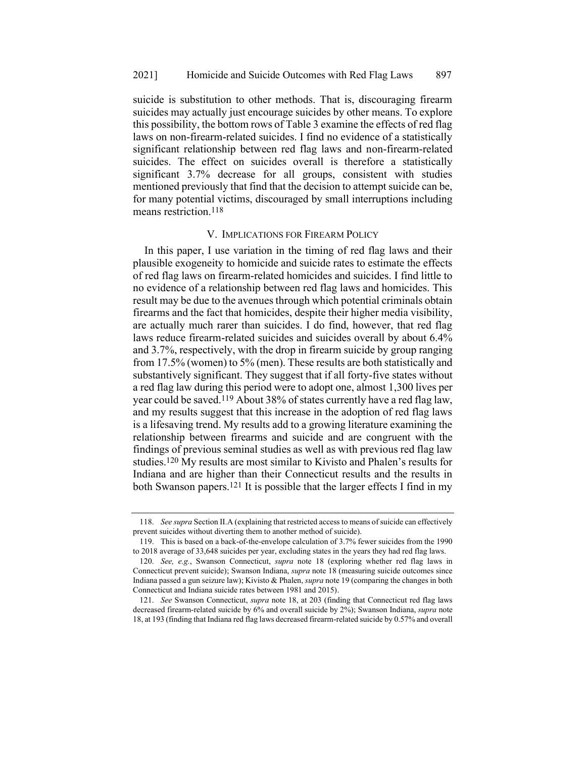suicide is substitution to other methods. That is, discouraging firearm suicides may actually just encourage suicides by other means. To explore this possibility, the bottom rows of Table 3 examine the effects of red flag laws on non-firearm-related suicides. I find no evidence of a statistically significant relationship between red flag laws and non-firearm-related suicides. The effect on suicides overall is therefore a statistically significant 3.7% decrease for all groups, consistent with studies mentioned previously that find that the decision to attempt suicide can be, for many potential victims, discouraged by small interruptions including means restriction.118

#### V. IMPLICATIONS FOR FIREARM POLICY

In this paper, I use variation in the timing of red flag laws and their plausible exogeneity to homicide and suicide rates to estimate the effects of red flag laws on firearm-related homicides and suicides. I find little to no evidence of a relationship between red flag laws and homicides. This result may be due to the avenues through which potential criminals obtain firearms and the fact that homicides, despite their higher media visibility, are actually much rarer than suicides. I do find, however, that red flag laws reduce firearm-related suicides and suicides overall by about 6.4% and 3.7%, respectively, with the drop in firearm suicide by group ranging from 17.5% (women) to 5% (men). These results are both statistically and substantively significant. They suggest that if all forty-five states without a red flag law during this period were to adopt one, almost 1,300 lives per year could be saved.119 About 38% of states currently have a red flag law, and my results suggest that this increase in the adoption of red flag laws is a lifesaving trend. My results add to a growing literature examining the relationship between firearms and suicide and are congruent with the findings of previous seminal studies as well as with previous red flag law studies.120 My results are most similar to Kivisto and Phalen's results for Indiana and are higher than their Connecticut results and the results in both Swanson papers.<sup>121</sup> It is possible that the larger effects I find in my

<span id="page-31-0"></span><sup>118.</sup> *See supra* Section II.A (explaining that restricted access to means of suicide can effectively prevent suicides without diverting them to another method of suicide).

<sup>119.</sup> This is based on a back-of-the-envelope calculation of 3.7% fewer suicides from the 1990 to 2018 average of 33,648 suicides per year, excluding states in the years they had red flag laws.

<sup>120.</sup> *See, e.g.*, Swanson Connecticut, *supra* [note 18](https://1.next.westlaw.com/Link/Document/FullText?findType=Y&serNum=0458293192&pubNum=0001464&originatingDoc=I9e95db168f4411ea80afece799150095&refType=LR&fi=co_pp_sp_1464_185&originationContext=document&transitionType=DocumentItem&contextData=(sc.Keycite)#co_pp_sp_1464_185) (exploring whether red flag laws in Connecticut prevent suicide); Swanson Indiana, *supra* note [18](#page-5-2) (measuring suicide outcomes since Indiana passed a gun seizure law); Kivisto & Phalen, *supra* not[e 19](#page-6-0) (comparing the changes in both Connecticut and Indiana suicide rates between 1981 and 2015).

<sup>121.</sup> *See* Swanson Connecticut, *supra* [note 18,](https://1.next.westlaw.com/Link/Document/FullText?findType=Y&serNum=0458293192&pubNum=0001464&originatingDoc=I9e95db168f4411ea80afece799150095&refType=LR&fi=co_pp_sp_1464_185&originationContext=document&transitionType=DocumentItem&contextData=(sc.Keycite)#co_pp_sp_1464_185) at 203 (finding that Connecticut red flag laws decreased firearm-related suicide by 6% and overall suicide by 2%); Swanson Indiana, *supra* note [18,](#page-5-2) at 193 (finding that Indiana red flag laws decreased firearm-related suicide by 0.57% and overall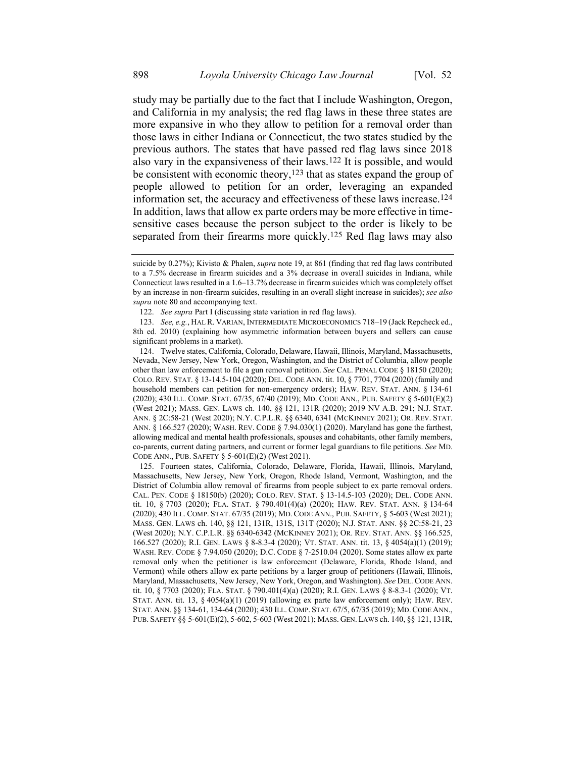study may be partially due to the fact that I include Washington, Oregon, and California in my analysis; the red flag laws in these three states are more expansive in who they allow to petition for a removal order than those laws in either Indiana or Connecticut, the two states studied by the previous authors. The states that have passed red flag laws since 2018 also vary in the expansiveness of their laws.122 It is possible, and would be consistent with economic theory,<sup>123</sup> that as states expand the group of people allowed to petition for an order, leveraging an expanded information set, the accuracy and effectiveness of these laws increase.124 In addition, laws that allow ex parte orders may be more effective in timesensitive cases because the person subject to the order is likely to be separated from their firearms more quickly.125 Red flag laws may also

suicide by 0.27%); Kivisto & Phalen, *supra* not[e 19,](#page-6-0) at 861 (finding that red flag laws contributed to a 7.5% decrease in firearm suicides and a 3% decrease in overall suicides in Indiana, while Connecticut laws resulted in a 1.6–13.7% decrease in firearm suicides which was completely offset by an increase in non-firearm suicides, resulting in an overall slight increase in suicides); *see also supra* not[e 80](#page-19-0) and accompanying text.

<sup>122.</sup> *See supra* Part I (discussing state variation in red flag laws).

<sup>123.</sup> *See, e.g.*, HAL R. VARIAN, INTERMEDIATE MICROECONOMICS 718–19 (Jack Repcheck ed., 8th ed. 2010) (explaining how asymmetric information between buyers and sellers can cause significant problems in a market).

<sup>124.</sup> Twelve states, California, Colorado, Delaware, Hawaii, Illinois, Maryland, Massachusetts, Nevada, New Jersey, New York, Oregon, Washington, and the District of Columbia, allow people other than law enforcement to file a gun removal petition. *See* CAL. PENAL CODE § 18150 (2020); COLO. REV. STAT. § 13-14.5-104 (2020); DEL. CODE ANN. tit. 10, § 7701, 7704 (2020) (family and household members can petition for non-emergency orders); HAW. REV. STAT. ANN. § 134-61 (2020); 430 ILL. COMP. STAT. 67/35, 67/40 (2019); MD. CODE ANN., PUB. SAFETY § 5-601(E)(2) (West 2021); MASS. GEN. LAWS ch. 140, §§ 121, 131R (2020); 2019 NV A.B. 291; N.J. STAT. ANN. § 2C:58-21 (West 2020); N.Y. C.P.L.R. §§ 6340, 6341 (MCKINNEY 2021); OR. REV. STAT. ANN. § 166.527 (2020); WASH. REV. CODE § 7.94.030(1) (2020). Maryland has gone the farthest, allowing medical and mental health professionals, spouses and cohabitants, other family members, co-parents, current dating partners, and current or former legal guardians to file petitions. *See* MD. CODE ANN., PUB. SAFETY § 5-601(E)(2) (West 2021).

<sup>125.</sup> Fourteen states, California, Colorado, Delaware, Florida, Hawaii, Illinois, Maryland, Massachusetts, New Jersey, New York, Oregon, Rhode Island, Vermont, Washington, and the District of Columbia allow removal of firearms from people subject to ex parte removal orders. CAL. PEN. CODE § 18150(b) (2020); COLO. REV. STAT. § 13-14.5-103 (2020); DEL. CODE ANN. tit. 10, § 7703 (2020); FLA. STAT. § 790.401(4)(a) (2020); HAW. REV. STAT. ANN. § 134-64 (2020); 430 ILL. COMP. STAT. 67/35 (2019); MD. CODE ANN., PUB. SAFETY, § 5-603 (West 2021); MASS. GEN. LAWS ch. 140, §§ 121, 131R, 131S, 131T (2020); N.J. STAT. ANN. §§ 2C:58-21, 23 (West 2020); N.Y. C.P.L.R. §§ 6340-6342 (MCKINNEY 2021); OR. REV. STAT. ANN. §§ 166.525, 166.527 (2020); R.I. GEN. LAWS § 8-8.3-4 (2020); VT. STAT. ANN. tit. 13, § 4054(a)(1) (2019); WASH. REV. CODE § 7.94.050 (2020); D.C. CODE § 7-2510.04 (2020). Some states allow ex parte removal only when the petitioner is law enforcement (Delaware, Florida, Rhode Island, and Vermont) while others allow ex parte petitions by a larger group of petitioners (Hawaii, Illinois, Maryland, Massachusetts, New Jersey, New York, Oregon, and Washington). *See* DEL. CODE ANN. tit. 10, § 7703 (2020); FLA. STAT. § 790.401(4)(a) (2020); R.I. GEN. LAWS § 8-8.3-1 (2020); VT. STAT. ANN. tit. 13, § 4054(a)(1) (2019) (allowing ex parte law enforcement only); HAW. REV. STAT. ANN. §§ 134-61, 134-64 (2020); 430 ILL. COMP. STAT. 67/5, 67/35 (2019); MD.CODE ANN., PUB. SAFETY §§ 5-601(E)(2), 5-602, 5-603 (West 2021); MASS. GEN. LAWS ch. 140, §§ 121, 131R,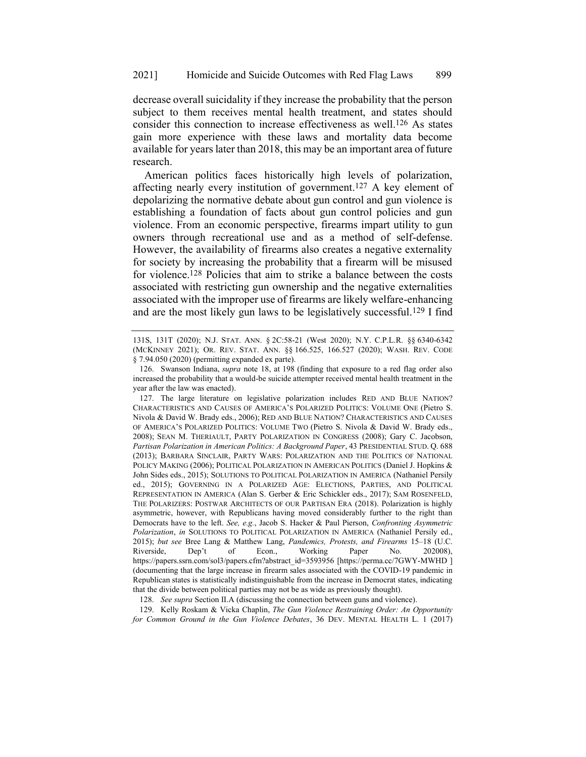decrease overall suicidality if they increase the probability that the person subject to them receives mental health treatment, and states should consider this connection to increase effectiveness as well.126 As states gain more experience with these laws and mortality data become available for years later than 2018, this may be an important area of future research.

American politics faces historically high levels of polarization, affecting nearly every institution of government.<sup>127</sup> A key element of depolarizing the normative debate about gun control and gun violence is establishing a foundation of facts about gun control policies and gun violence. From an economic perspective, firearms impart utility to gun owners through recreational use and as a method of self-defense. However, the availability of firearms also creates a negative externality for society by increasing the probability that a firearm will be misused for violence.128 Policies that aim to strike a balance between the costs associated with restricting gun ownership and the negative externalities associated with the improper use of firearms are likely welfare-enhancing and are the most likely gun laws to be legislatively successful.129 I find

129. Kelly Roskam & Vicka Chaplin, *The Gun Violence Restraining Order: An Opportunity for Common Ground in the Gun Violence Debates*, 36 DEV. MENTAL HEALTH L. 1 (2017)

<span id="page-33-0"></span><sup>131</sup>S, 131T (2020); N.J. STAT. ANN. § 2C:58-21 (West 2020); N.Y. C.P.L.R. §§ 6340-6342 (MCKINNEY 2021); OR. REV. STAT. ANN. §§ 166.525, 166.527 (2020); WASH. REV. CODE § 7.94.050 (2020) (permitting expanded ex parte).

<sup>126.</sup> Swanson Indiana, *supra* note [18,](#page-5-2) at 198 (finding that exposure to a red flag order also increased the probability that a would-be suicide attempter received mental health treatment in the year after the law was enacted).

<sup>127.</sup> The large literature on legislative polarization includes RED AND BLUE NATION? CHARACTERISTICS AND CAUSES OF AMERICA'S POLARIZED POLITICS: VOLUME ONE (Pietro S. Nivola & David W. Brady eds., 2006); RED AND BLUE NATION? CHARACTERISTICS AND CAUSES OF AMERICA'S POLARIZED POLITICS: VOLUME TWO (Pietro S. Nivola & David W. Brady eds., 2008); SEAN M. THERIAULT, PARTY POLARIZATION IN CONGRESS (2008); Gary C. Jacobson, *Partisan Polarization in American Politics: A Background Paper*, 43 PRESIDENTIAL STUD. Q. 688 (2013); BARBARA SINCLAIR, PARTY WARS: POLARIZATION AND THE POLITICS OF NATIONAL POLICY MAKING (2006); POLITICAL POLARIZATION IN AMERICAN POLITICS (Daniel J. Hopkins & John Sides eds., 2015); SOLUTIONS TO POLITICAL POLARIZATION IN AMERICA (Nathaniel Persily ed., 2015); GOVERNING IN A POLARIZED AGE: ELECTIONS, PARTIES, AND POLITICAL REPRESENTATION IN AMERICA (Alan S. Gerber & Eric Schickler eds., 2017); SAM ROSENFELD, THE POLARIZERS: POSTWAR ARCHITECTS OF OUR PARTISAN ERA (2018). Polarization is highly asymmetric, however, with Republicans having moved considerably further to the right than Democrats have to the left. *See, e.g.*, Jacob S. Hacker & Paul Pierson, *Confronting Asymmetric Polarization*, *in* SOLUTIONS TO POLITICAL POLARIZATION IN AMERICA (Nathaniel Persily ed., 2015); *but see* Bree Lang & Matthew Lang, *Pandemics, Protests, and Firearms* 15–18 (U.C. Riverside, Dep't of Econ., Working Paper No. 202008), https://papers.ssrn.com/sol3/papers.cfm?abstract\_id=3593956 [https://perma.cc/7GWY-MWHD ] (documenting that the large increase in firearm sales associated with the COVID-19 pandemic in Republican states is statistically indistinguishable from the increase in Democrat states, indicating that the divide between political parties may not be as wide as previously thought).

<sup>128.</sup> *See supra* Section II.A (discussing the connection between guns and violence).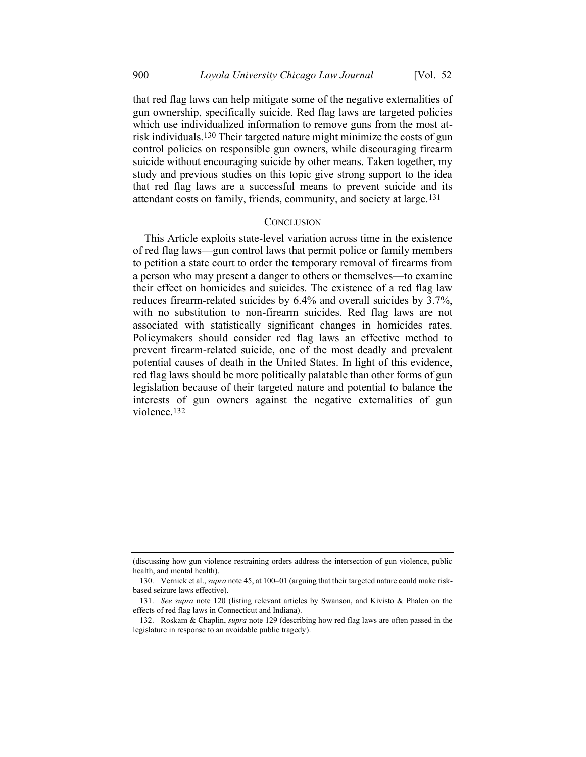that red flag laws can help mitigate some of the negative externalities of gun ownership, specifically suicide. Red flag laws are targeted policies which use individualized information to remove guns from the most atrisk individuals.130 Their targeted nature might minimize the costs of gun control policies on responsible gun owners, while discouraging firearm suicide without encouraging suicide by other means. Taken together, my study and previous studies on this topic give strong support to the idea that red flag laws are a successful means to prevent suicide and its attendant costs on family, friends, community, and society at large.131

#### **CONCLUSION**

This Article exploits state-level variation across time in the existence of red flag laws—gun control laws that permit police or family members to petition a state court to order the temporary removal of firearms from a person who may present a danger to others or themselves—to examine their effect on homicides and suicides. The existence of a red flag law reduces firearm-related suicides by 6.4% and overall suicides by 3.7%, with no substitution to non-firearm suicides. Red flag laws are not associated with statistically significant changes in homicides rates. Policymakers should consider red flag laws an effective method to prevent firearm-related suicide, one of the most deadly and prevalent potential causes of death in the United States. In light of this evidence, red flag laws should be more politically palatable than other forms of gun legislation because of their targeted nature and potential to balance the interests of gun owners against the negative externalities of gun violence.132

<sup>(</sup>discussing how gun violence restraining orders address the intersection of gun violence, public health, and mental health).

<sup>130.</sup> Vernick et al., *supra* not[e 45,](#page-10-0) at 100–01 (arguing that their targeted nature could make riskbased seizure laws effective).

<sup>131.</sup> *See supra* note [120](#page-31-0) (listing relevant articles by Swanson, and Kivisto & Phalen on the effects of red flag laws in Connecticut and Indiana).

<sup>132.</sup> Roskam & Chaplin, *supra* note [129](#page-33-0) (describing how red flag laws are often passed in the legislature in response to an avoidable public tragedy).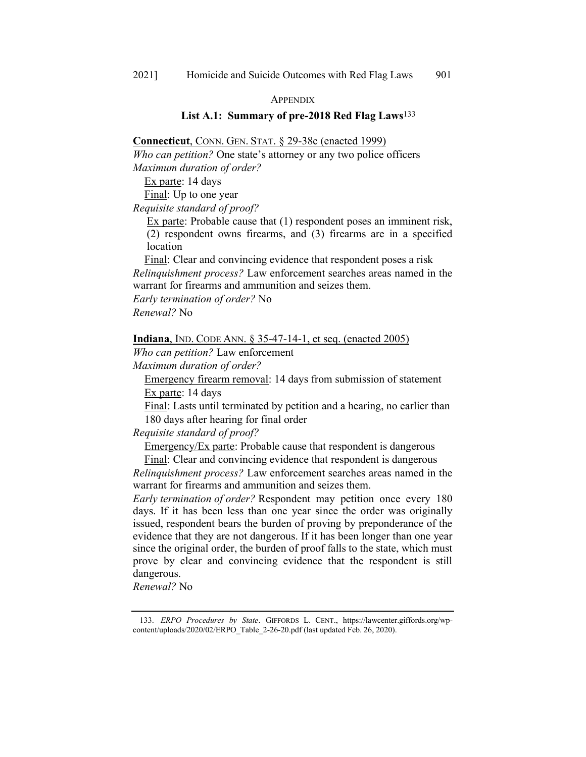#### **APPENDIX**

# **List A.1: Summary of pre-2018 Red Flag Laws**133

# **Connecticut**, CONN. GEN. STAT. § 29-38c (enacted 1999)

*Who can petition?* One state's attorney or any two police officers *Maximum duration of order?* 

Ex parte: 14 days

Final: Up to one year

*Requisite standard of proof?* 

Ex parte: Probable cause that (1) respondent poses an imminent risk, (2) respondent owns firearms, and (3) firearms are in a specified location

Final: Clear and convincing evidence that respondent poses a risk *Relinquishment process?* Law enforcement searches areas named in the warrant for firearms and ammunition and seizes them.

*Early termination of order?* No

*Renewal?* No

# **Indiana**, IND. CODE ANN. § 35-47-14-1, et seq. (enacted 2005)

*Who can petition?* Law enforcement

*Maximum duration of order?* 

Emergency firearm removal: 14 days from submission of statement

Ex parte: 14 days

Final: Lasts until terminated by petition and a hearing, no earlier than 180 days after hearing for final order

*Requisite standard of proof?*

Emergency/Ex parte: Probable cause that respondent is dangerous

Final: Clear and convincing evidence that respondent is dangerous *Relinquishment process?* Law enforcement searches areas named in the warrant for firearms and ammunition and seizes them.

*Early termination of order?* Respondent may petition once every 180 days. If it has been less than one year since the order was originally issued, respondent bears the burden of proving by preponderance of the evidence that they are not dangerous. If it has been longer than one year since the original order, the burden of proof falls to the state, which must prove by clear and convincing evidence that the respondent is still dangerous.

*Renewal?* No

<sup>133.</sup> *ERPO Procedures by State*. GIFFORDS L. CENT., https://lawcenter.giffords.org/wpcontent/uploads/2020/02/ERPO\_Table\_2-26-20.pdf (last updated Feb. 26, 2020).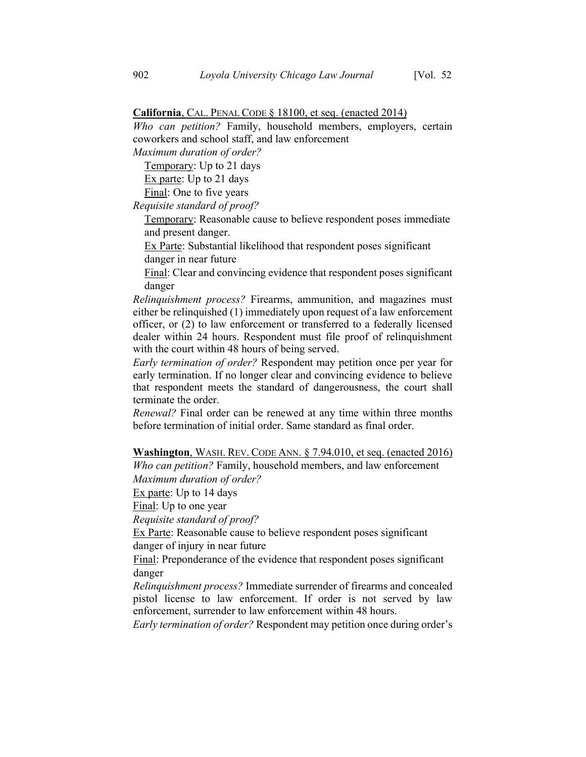## **California**, CAL. PENAL CODE § 18100, et seq. (enacted 2014)

*Who can petition?* Family, household members, employers, certain coworkers and school staff, and law enforcement

*Maximum duration of order?* 

Temporary: Up to 21 days

Ex parte: Up to 21 days

Final: One to five years

*Requisite standard of proof?* 

Temporary: Reasonable cause to believe respondent poses immediate and present danger.

Ex Parte: Substantial likelihood that respondent poses significant danger in near future

Final: Clear and convincing evidence that respondent poses significant danger

*Relinquishment process?* Firearms, ammunition, and magazines must either be relinquished (1) immediately upon request of a law enforcement officer, or (2) to law enforcement or transferred to a federally licensed dealer within 24 hours. Respondent must file proof of relinquishment with the court within 48 hours of being served.

*Early termination of order?* Respondent may petition once per year for early termination. If no longer clear and convincing evidence to believe that respondent meets the standard of dangerousness, the court shall terminate the order.

*Renewal?* Final order can be renewed at any time within three months before termination of initial order. Same standard as final order.

**Washington**, WASH. REV. CODE ANN. § 7.94.010, et seq. (enacted 2016)

*Who can petition?* Family, household members, and law enforcement *Maximum duration of order?* 

Ex parte: Up to 14 days

Final: Up to one year

*Requisite standard of proof?* 

Ex Parte: Reasonable cause to believe respondent poses significant danger of injury in near future

Final: Preponderance of the evidence that respondent poses significant danger

*Relinquishment process?* Immediate surrender of firearms and concealed pistol license to law enforcement. If order is not served by law enforcement, surrender to law enforcement within 48 hours.

*Early termination of order?* Respondent may petition once during order's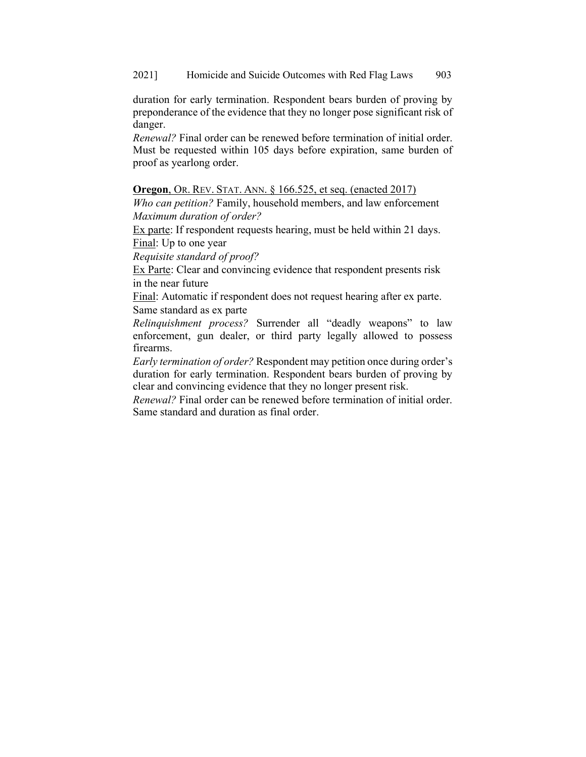duration for early termination. Respondent bears burden of proving by preponderance of the evidence that they no longer pose significant risk of danger.

*Renewal?* Final order can be renewed before termination of initial order. Must be requested within 105 days before expiration, same burden of proof as yearlong order.

# **Oregon**, OR. REV. STAT. ANN. § 166.525, et seq. (enacted 2017)

*Who can petition?* Family, household members, and law enforcement *Maximum duration of order?* 

Ex parte: If respondent requests hearing, must be held within 21 days. Final: Up to one year

*Requisite standard of proof?* 

Ex Parte: Clear and convincing evidence that respondent presents risk in the near future

Final: Automatic if respondent does not request hearing after ex parte. Same standard as ex parte

*Relinquishment process?* Surrender all "deadly weapons" to law enforcement, gun dealer, or third party legally allowed to possess firearms.

*Early termination of order?* Respondent may petition once during order's duration for early termination. Respondent bears burden of proving by clear and convincing evidence that they no longer present risk.

*Renewal?* Final order can be renewed before termination of initial order. Same standard and duration as final order.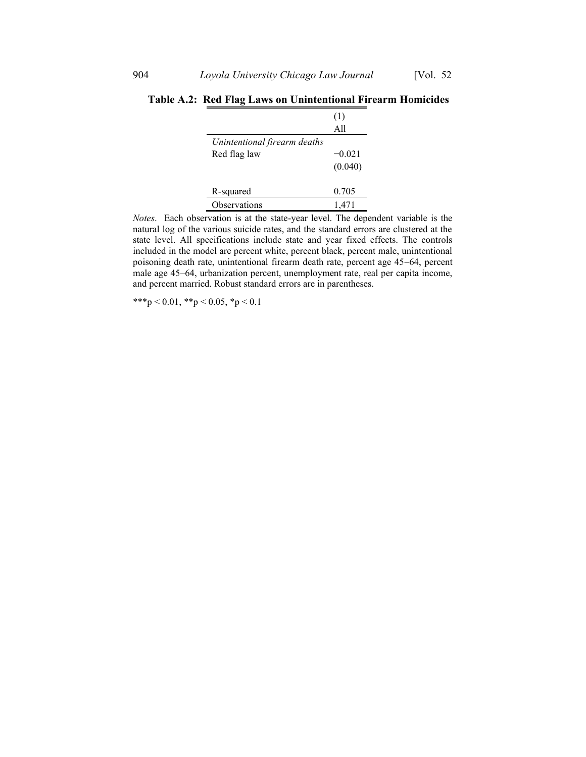|                              | (1)      |
|------------------------------|----------|
|                              | A11      |
| Unintentional firearm deaths |          |
| Red flag law                 | $-0.021$ |
|                              | (0.040)  |
| R-squared                    | 0.705    |
| Observations                 | 1.471    |

**Table A.2: Red Flag Laws on Unintentional Firearm Homicides**

*Notes*. Each observation is at the state-year level. The dependent variable is the natural log of the various suicide rates, and the standard errors are clustered at the state level. All specifications include state and year fixed effects. The controls included in the model are percent white, percent black, percent male, unintentional poisoning death rate, unintentional firearm death rate, percent age 45–64, percent male age 45–64, urbanization percent, unemployment rate, real per capita income, and percent married. Robust standard errors are in parentheses.

\*\*\*p < 0.01, \*\*p < 0.05, \*p < 0.1